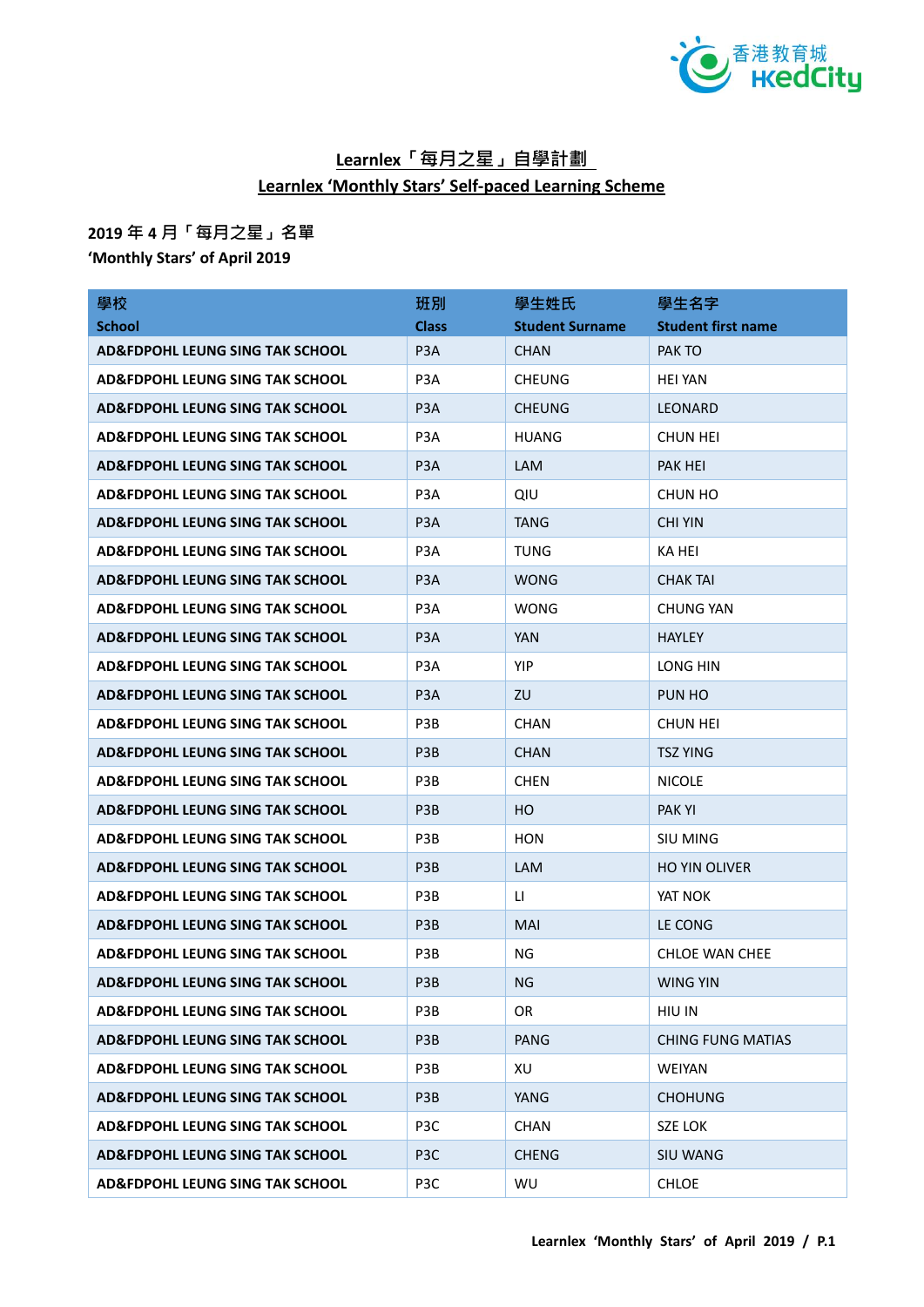

## **Learnlex「每月之星」自學計劃 Learnlex 'Monthly Stars' Self-paced Learning Scheme**

## **2019 年 4 月「每月之星」名單**

**'Monthly Stars' of April 2019**

| 學校                                         | 班別               | 學生姓氏                   | 學生名字                      |
|--------------------------------------------|------------------|------------------------|---------------------------|
| <b>School</b>                              | <b>Class</b>     | <b>Student Surname</b> | <b>Student first name</b> |
| <b>AD&amp;FDPOHL LEUNG SING TAK SCHOOL</b> | P <sub>3</sub> A | <b>CHAN</b>            | PAK TO                    |
| <b>AD&amp;FDPOHL LEUNG SING TAK SCHOOL</b> | P <sub>3</sub> A | <b>CHEUNG</b>          | <b>HEI YAN</b>            |
| <b>AD&amp;FDPOHL LEUNG SING TAK SCHOOL</b> | P <sub>3</sub> A | <b>CHEUNG</b>          | <b>LEONARD</b>            |
| <b>AD&amp;FDPOHL LEUNG SING TAK SCHOOL</b> | P <sub>3</sub> A | <b>HUANG</b>           | <b>CHUN HEI</b>           |
| <b>AD&amp;FDPOHL LEUNG SING TAK SCHOOL</b> | P <sub>3</sub> A | <b>LAM</b>             | PAK HEI                   |
| AD&FDPOHL LEUNG SING TAK SCHOOL            | P <sub>3</sub> A | QIU                    | CHUN HO                   |
| <b>AD&amp;FDPOHL LEUNG SING TAK SCHOOL</b> | P <sub>3</sub> A | TANG                   | <b>CHI YIN</b>            |
| <b>AD&amp;FDPOHL LEUNG SING TAK SCHOOL</b> | P <sub>3</sub> A | TUNG                   | KA HEI                    |
| <b>AD&amp;FDPOHL LEUNG SING TAK SCHOOL</b> | P <sub>3</sub> A | <b>WONG</b>            | <b>CHAK TAI</b>           |
| <b>AD&amp;FDPOHL LEUNG SING TAK SCHOOL</b> | P <sub>3</sub> A | <b>WONG</b>            | <b>CHUNG YAN</b>          |
| <b>AD&amp;FDPOHL LEUNG SING TAK SCHOOL</b> | P <sub>3</sub> A | <b>YAN</b>             | <b>HAYLEY</b>             |
| <b>AD&amp;FDPOHL LEUNG SING TAK SCHOOL</b> | P <sub>3</sub> A | <b>YIP</b>             | LONG HIN                  |
| <b>AD&amp;FDPOHL LEUNG SING TAK SCHOOL</b> | P <sub>3</sub> A | ZU                     | PUN HO                    |
| <b>AD&amp;FDPOHL LEUNG SING TAK SCHOOL</b> | P <sub>3</sub> B | <b>CHAN</b>            | <b>CHUN HEI</b>           |
| <b>AD&amp;FDPOHL LEUNG SING TAK SCHOOL</b> | P <sub>3</sub> B | <b>CHAN</b>            | <b>TSZ YING</b>           |
| <b>AD&amp;FDPOHL LEUNG SING TAK SCHOOL</b> | P3B              | <b>CHEN</b>            | <b>NICOLE</b>             |
| <b>AD&amp;FDPOHL LEUNG SING TAK SCHOOL</b> | P <sub>3</sub> B | HO.                    | <b>PAKYI</b>              |
| <b>AD&amp;FDPOHL LEUNG SING TAK SCHOOL</b> | P3B              | <b>HON</b>             | SIU MING                  |
| <b>AD&amp;FDPOHL LEUNG SING TAK SCHOOL</b> | P <sub>3</sub> B | <b>LAM</b>             | <b>HO YIN OLIVER</b>      |
| <b>AD&amp;FDPOHL LEUNG SING TAK SCHOOL</b> | P3B              | $\mathsf{L}$           | YAT NOK                   |
| <b>AD&amp;FDPOHL LEUNG SING TAK SCHOOL</b> | P <sub>3</sub> B | <b>MAI</b>             | LE CONG                   |
| <b>AD&amp;FDPOHL LEUNG SING TAK SCHOOL</b> | P3B              | <b>NG</b>              | <b>CHLOE WAN CHEE</b>     |
| <b>AD&amp;FDPOHL LEUNG SING TAK SCHOOL</b> | P3B              | <b>NG</b>              | WING YIN                  |
| AD&FDPOHL LEUNG SING TAK SCHOOL            | P3B              | OR                     | HIU IN                    |
| AD&FDPOHL LEUNG SING TAK SCHOOL            | P3B              | <b>PANG</b>            | <b>CHING FUNG MATIAS</b>  |
| <b>AD&amp;FDPOHL LEUNG SING TAK SCHOOL</b> | P3B              | XU                     | <b>WEIYAN</b>             |
| <b>AD&amp;FDPOHL LEUNG SING TAK SCHOOL</b> | P3B              | <b>YANG</b>            | <b>CHOHUNG</b>            |
| AD&FDPOHL LEUNG SING TAK SCHOOL            | P3C              | <b>CHAN</b>            | <b>SZE LOK</b>            |
| <b>AD&amp;FDPOHL LEUNG SING TAK SCHOOL</b> | P <sub>3</sub> C | <b>CHENG</b>           | <b>SIU WANG</b>           |
| AD&FDPOHL LEUNG SING TAK SCHOOL            | P3C              | WU                     | <b>CHLOE</b>              |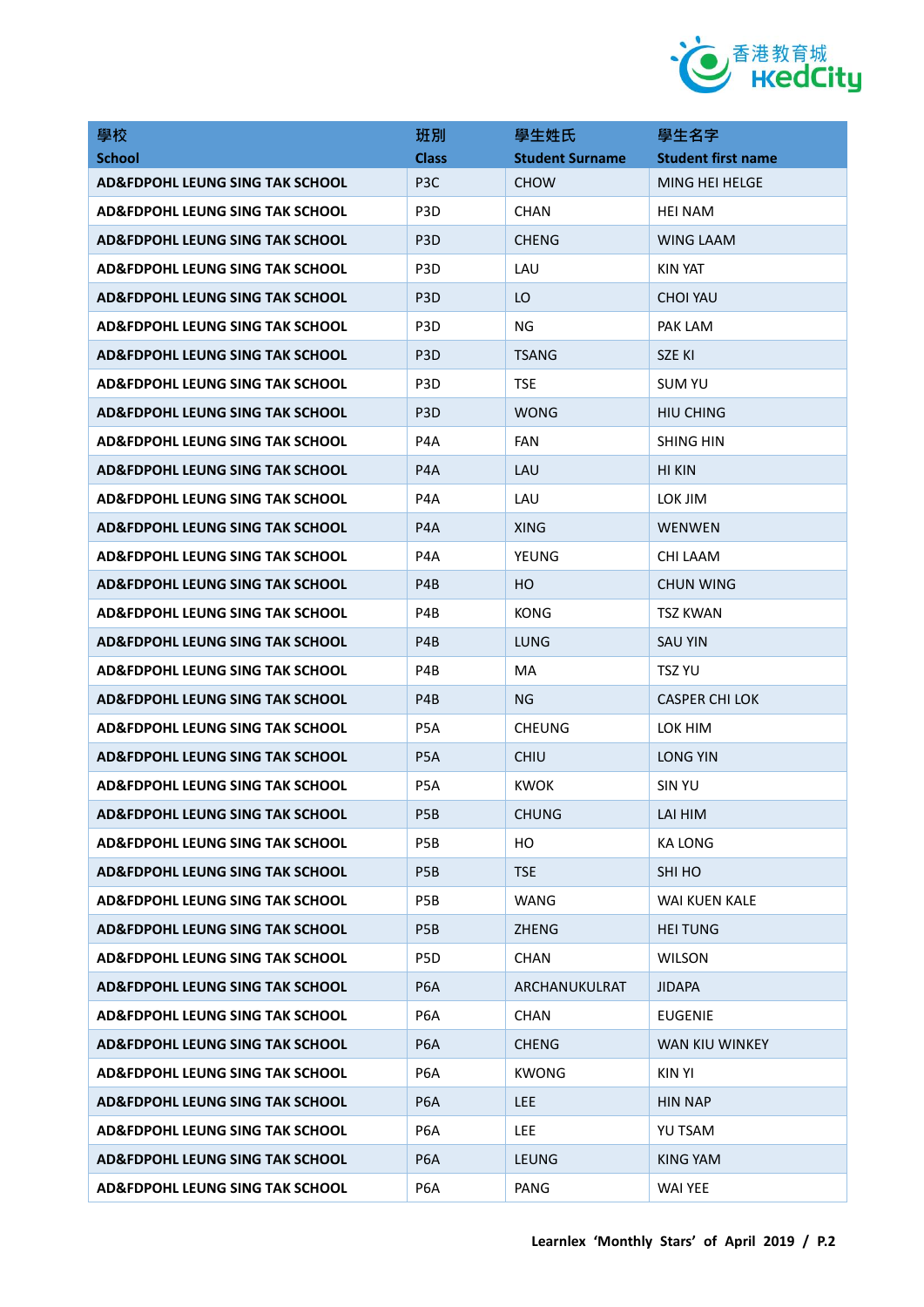

| 學校                                         | 班別               | 學生姓氏                   | 學生名字                      |
|--------------------------------------------|------------------|------------------------|---------------------------|
| <b>School</b>                              | <b>Class</b>     | <b>Student Surname</b> | <b>Student first name</b> |
| <b>AD&amp;FDPOHL LEUNG SING TAK SCHOOL</b> | P <sub>3</sub> C | <b>CHOW</b>            | MING HEI HELGE            |
| <b>AD&amp;FDPOHL LEUNG SING TAK SCHOOL</b> | P <sub>3</sub> D | <b>CHAN</b>            | <b>HEI NAM</b>            |
| AD&FDPOHL LEUNG SING TAK SCHOOL            | P <sub>3</sub> D | <b>CHENG</b>           | <b>WING LAAM</b>          |
| AD&FDPOHL LEUNG SING TAK SCHOOL            | P <sub>3</sub> D | LAU                    | <b>KIN YAT</b>            |
| <b>AD&amp;FDPOHL LEUNG SING TAK SCHOOL</b> | P <sub>3</sub> D | LO                     | <b>CHOI YAU</b>           |
| AD&FDPOHL LEUNG SING TAK SCHOOL            | P <sub>3</sub> D | ΝG                     | PAK LAM                   |
| AD&FDPOHL LEUNG SING TAK SCHOOL            | P <sub>3</sub> D | <b>TSANG</b>           | SZE KI                    |
| AD&FDPOHL LEUNG SING TAK SCHOOL            | P <sub>3</sub> D | <b>TSE</b>             | <b>SUM YU</b>             |
| AD&FDPOHL LEUNG SING TAK SCHOOL            | P <sub>3</sub> D | <b>WONG</b>            | <b>HIU CHING</b>          |
| AD&FDPOHL LEUNG SING TAK SCHOOL            | P <sub>4</sub> A | <b>FAN</b>             | <b>SHING HIN</b>          |
| AD&FDPOHL LEUNG SING TAK SCHOOL            | P <sub>4</sub> A | LAU                    | HI KIN                    |
| <b>AD&amp;FDPOHL LEUNG SING TAK SCHOOL</b> | P4A              | LAU                    | LOK JIM                   |
| <b>AD&amp;FDPOHL LEUNG SING TAK SCHOOL</b> | P <sub>4</sub> A | <b>XING</b>            | <b>WENWEN</b>             |
| <b>AD&amp;FDPOHL LEUNG SING TAK SCHOOL</b> | P4A              | YEUNG                  | CHI LAAM                  |
| AD&FDPOHL LEUNG SING TAK SCHOOL            | P4B              | HO.                    | <b>CHUN WING</b>          |
| AD&FDPOHL LEUNG SING TAK SCHOOL            | P4B              | KONG                   | TSZ KWAN                  |
| AD&FDPOHL LEUNG SING TAK SCHOOL            | P <sub>4</sub> B | <b>LUNG</b>            | <b>SAU YIN</b>            |
| AD&FDPOHL LEUNG SING TAK SCHOOL            | P4B              | MA                     | TSZ YU                    |
| AD&FDPOHL LEUNG SING TAK SCHOOL            | P <sub>4</sub> B | ΝG                     | <b>CASPER CHI LOK</b>     |
| AD&FDPOHL LEUNG SING TAK SCHOOL            | P <sub>5</sub> A | <b>CHEUNG</b>          | LOK HIM                   |
| AD&FDPOHL LEUNG SING TAK SCHOOL            | P <sub>5</sub> A | <b>CHIU</b>            | <b>LONG YIN</b>           |
| AD&FDPOHL LEUNG SING TAK SCHOOL            | P5A              | <b>KWOK</b>            | <b>SIN YU</b>             |
| AD&FDPOHL LEUNG SING TAK SCHOOL            | P <sub>5</sub> B | <b>CHUNG</b>           | LAI HIM                   |
| AD&FDPOHL LEUNG SING TAK SCHOOL            | P <sub>5</sub> B | HO.                    | <b>KA LONG</b>            |
| AD&FDPOHL LEUNG SING TAK SCHOOL            | P <sub>5</sub> B | <b>TSE</b>             | SHI HO                    |
| <b>AD&amp;FDPOHL LEUNG SING TAK SCHOOL</b> | P5B              | <b>WANG</b>            | WAI KUEN KALE             |
| <b>AD&amp;FDPOHL LEUNG SING TAK SCHOOL</b> | P <sub>5</sub> B | <b>ZHENG</b>           | <b>HEI TUNG</b>           |
| <b>AD&amp;FDPOHL LEUNG SING TAK SCHOOL</b> | P5D              | <b>CHAN</b>            | <b>WILSON</b>             |
| <b>AD&amp;FDPOHL LEUNG SING TAK SCHOOL</b> | P <sub>6</sub> A | ARCHANUKULRAT          | JIDAPA                    |
| <b>AD&amp;FDPOHL LEUNG SING TAK SCHOOL</b> | P6A              | <b>CHAN</b>            | <b>EUGENIE</b>            |
| <b>AD&amp;FDPOHL LEUNG SING TAK SCHOOL</b> | P <sub>6</sub> A | <b>CHENG</b>           | WAN KIU WINKEY            |
| <b>AD&amp;FDPOHL LEUNG SING TAK SCHOOL</b> | P6A              | <b>KWONG</b>           | <b>KIN YI</b>             |
| <b>AD&amp;FDPOHL LEUNG SING TAK SCHOOL</b> | P <sub>6</sub> A | LEE.                   | <b>HIN NAP</b>            |
| <b>AD&amp;FDPOHL LEUNG SING TAK SCHOOL</b> | P6A              | LEE.                   | YU TSAM                   |
| <b>AD&amp;FDPOHL LEUNG SING TAK SCHOOL</b> | P <sub>6</sub> A | <b>LEUNG</b>           | <b>KING YAM</b>           |
| AD&FDPOHL LEUNG SING TAK SCHOOL            | P <sub>6</sub> A | PANG                   | WAI YEE                   |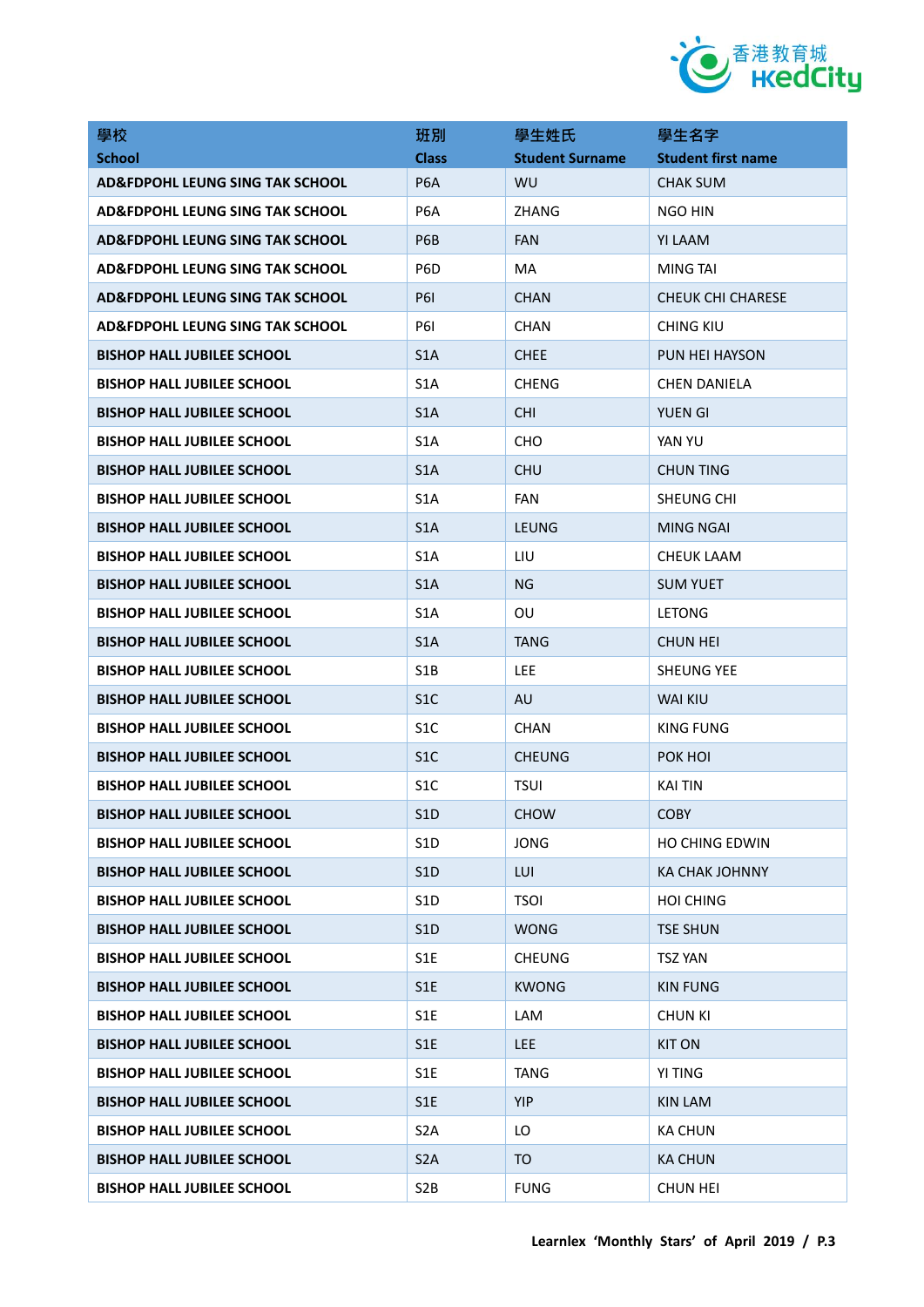

| 學校                                | 班別               | 學生姓氏                   | 學生名字                      |
|-----------------------------------|------------------|------------------------|---------------------------|
| <b>School</b>                     | <b>Class</b>     | <b>Student Surname</b> | <b>Student first name</b> |
| AD&FDPOHL LEUNG SING TAK SCHOOL   | P <sub>6</sub> A | WU                     | CHAK SUM                  |
| AD&FDPOHL LEUNG SING TAK SCHOOL   | P <sub>6</sub> A | <b>ZHANG</b>           | NGO HIN                   |
| AD&FDPOHL LEUNG SING TAK SCHOOL   | P6B              | <b>FAN</b>             | YI LAAM                   |
| AD&FDPOHL LEUNG SING TAK SCHOOL   | P <sub>6</sub> D | MA                     | MING TAI                  |
| AD&FDPOHL LEUNG SING TAK SCHOOL   | <b>P61</b>       | <b>CHAN</b>            | <b>CHEUK CHI CHARESE</b>  |
| AD&FDPOHL LEUNG SING TAK SCHOOL   | <b>P61</b>       | <b>CHAN</b>            | CHING KIU                 |
| <b>BISHOP HALL JUBILEE SCHOOL</b> | S <sub>1</sub> A | <b>CHEE</b>            | PUN HEI HAYSON            |
| <b>BISHOP HALL JUBILEE SCHOOL</b> | S <sub>1</sub> A | <b>CHENG</b>           | <b>CHEN DANIELA</b>       |
| <b>BISHOP HALL JUBILEE SCHOOL</b> | S <sub>1</sub> A | <b>CHI</b>             | <b>YUEN GI</b>            |
| <b>BISHOP HALL JUBILEE SCHOOL</b> | S1A              | CHO                    | YAN YU                    |
| <b>BISHOP HALL JUBILEE SCHOOL</b> | S <sub>1</sub> A | CHU                    | <b>CHUN TING</b>          |
| <b>BISHOP HALL JUBILEE SCHOOL</b> | S <sub>1</sub> A | FAN                    | SHEUNG CHI                |
| <b>BISHOP HALL JUBILEE SCHOOL</b> | S <sub>1</sub> A | <b>LEUNG</b>           | MING NGAI                 |
| <b>BISHOP HALL JUBILEE SCHOOL</b> | S <sub>1</sub> A | LIU                    | CHEUK LAAM                |
| <b>BISHOP HALL JUBILEE SCHOOL</b> | S <sub>1</sub> A | <b>NG</b>              | <b>SUM YUET</b>           |
| <b>BISHOP HALL JUBILEE SCHOOL</b> | S1A              | OU                     | LETONG                    |
| <b>BISHOP HALL JUBILEE SCHOOL</b> | S <sub>1</sub> A | <b>TANG</b>            | <b>CHUN HEI</b>           |
| <b>BISHOP HALL JUBILEE SCHOOL</b> | S <sub>1</sub> B | <b>LEE</b>             | <b>SHEUNG YEE</b>         |
| <b>BISHOP HALL JUBILEE SCHOOL</b> | S <sub>1</sub> C | <b>AU</b>              | <b>WAI KIU</b>            |
| <b>BISHOP HALL JUBILEE SCHOOL</b> | S <sub>1</sub> C | <b>CHAN</b>            | <b>KING FUNG</b>          |
| <b>BISHOP HALL JUBILEE SCHOOL</b> | S <sub>1</sub> C | <b>CHEUNG</b>          | POK HOI                   |
| <b>BISHOP HALL JUBILEE SCHOOL</b> | S1C              | <b>TSUI</b>            | KAI TIN                   |
| <b>BISHOP HALL JUBILEE SCHOOL</b> | S <sub>1</sub> D | <b>CHOW</b>            | <b>COBY</b>               |
| <b>BISHOP HALL JUBILEE SCHOOL</b> | S <sub>1</sub> D | <b>JONG</b>            | HO CHING EDWIN            |
| <b>BISHOP HALL JUBILEE SCHOOL</b> | S1D              | LUI.                   | KA CHAK JOHNNY            |
| <b>BISHOP HALL JUBILEE SCHOOL</b> | S <sub>1</sub> D | <b>TSOI</b>            | <b>HOI CHING</b>          |
| <b>BISHOP HALL JUBILEE SCHOOL</b> | S <sub>1</sub> D | <b>WONG</b>            | <b>TSE SHUN</b>           |
| <b>BISHOP HALL JUBILEE SCHOOL</b> | S <sub>1</sub> E | <b>CHEUNG</b>          | <b>TSZ YAN</b>            |
| <b>BISHOP HALL JUBILEE SCHOOL</b> | S1E              | <b>KWONG</b>           | <b>KIN FUNG</b>           |
| <b>BISHOP HALL JUBILEE SCHOOL</b> | S <sub>1</sub> E | LAM                    | <b>CHUN KI</b>            |
| <b>BISHOP HALL JUBILEE SCHOOL</b> | S <sub>1</sub> E | LEE.                   | <b>KIT ON</b>             |
| <b>BISHOP HALL JUBILEE SCHOOL</b> | S1E              | <b>TANG</b>            | YI TING                   |
| <b>BISHOP HALL JUBILEE SCHOOL</b> | S <sub>1</sub> E | <b>YIP</b>             | <b>KIN LAM</b>            |
| <b>BISHOP HALL JUBILEE SCHOOL</b> | S <sub>2</sub> A | LO                     | <b>KA CHUN</b>            |
| <b>BISHOP HALL JUBILEE SCHOOL</b> | S <sub>2</sub> A | TO                     | <b>KA CHUN</b>            |
| <b>BISHOP HALL JUBILEE SCHOOL</b> | S <sub>2</sub> B | <b>FUNG</b>            | CHUN HEI                  |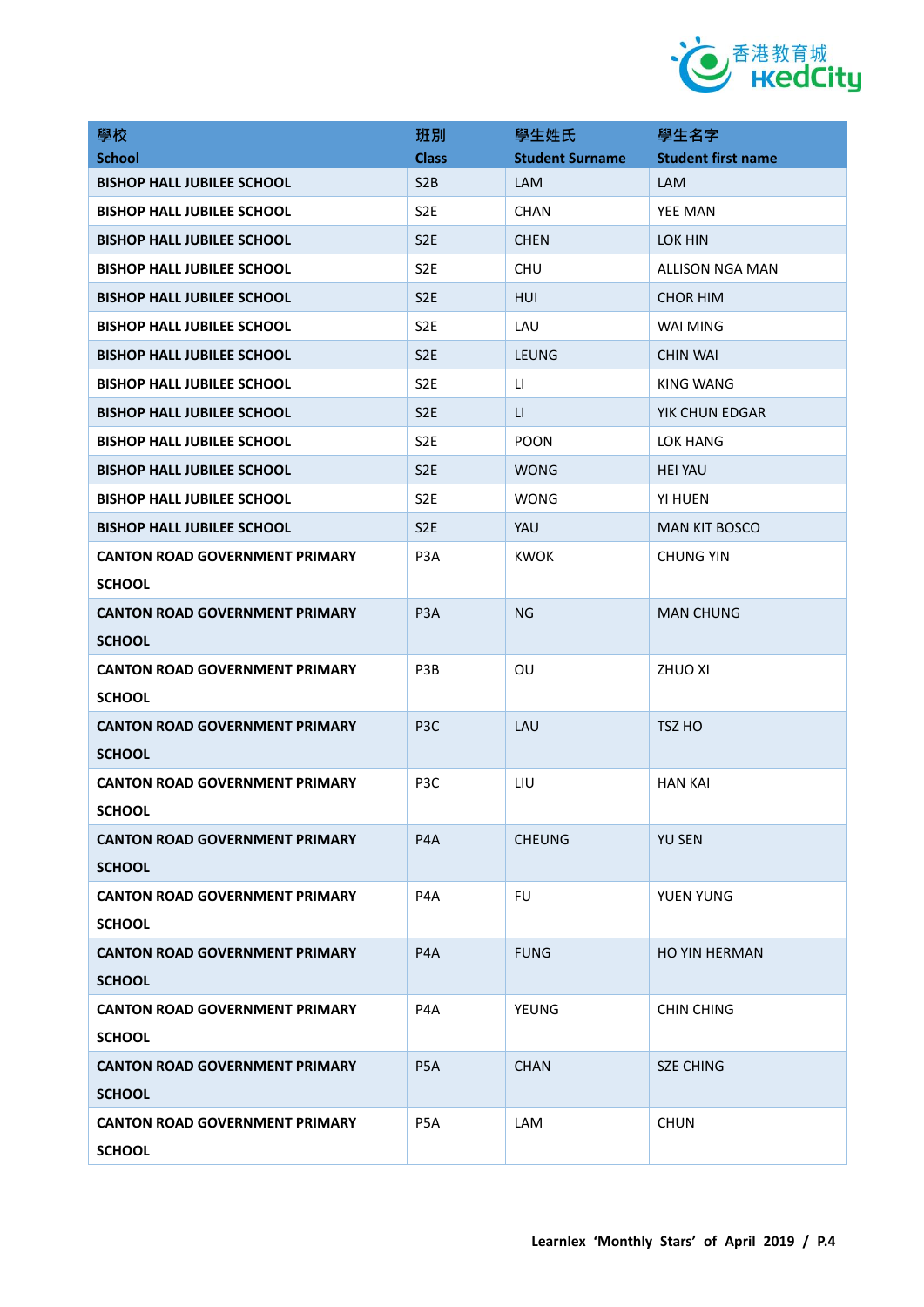

| 學校                                    | 班別               | 學生姓氏                   | 學生名字                      |
|---------------------------------------|------------------|------------------------|---------------------------|
| <b>School</b>                         | <b>Class</b>     | <b>Student Surname</b> | <b>Student first name</b> |
| <b>BISHOP HALL JUBILEE SCHOOL</b>     | S <sub>2</sub> B | LAM                    | LAM                       |
| <b>BISHOP HALL JUBILEE SCHOOL</b>     | S <sub>2</sub> E | <b>CHAN</b>            | <b>YEE MAN</b>            |
| <b>BISHOP HALL JUBILEE SCHOOL</b>     | S <sub>2E</sub>  | <b>CHEN</b>            | LOK HIN                   |
| <b>BISHOP HALL JUBILEE SCHOOL</b>     | S <sub>2</sub> E | <b>CHU</b>             | <b>ALLISON NGA MAN</b>    |
| <b>BISHOP HALL JUBILEE SCHOOL</b>     | S <sub>2E</sub>  | <b>HUI</b>             | <b>CHOR HIM</b>           |
| <b>BISHOP HALL JUBILEE SCHOOL</b>     | S <sub>2E</sub>  | LAU                    | WAI MING                  |
| <b>BISHOP HALL JUBILEE SCHOOL</b>     | S <sub>2</sub> E | LEUNG                  | <b>CHIN WAI</b>           |
| <b>BISHOP HALL JUBILEE SCHOOL</b>     | S <sub>2</sub> E | LI.                    | KING WANG                 |
| <b>BISHOP HALL JUBILEE SCHOOL</b>     | S <sub>2E</sub>  | LI.                    | YIK CHUN EDGAR            |
| <b>BISHOP HALL JUBILEE SCHOOL</b>     | S <sub>2</sub> E | <b>POON</b>            | LOK HANG                  |
| BISHOP HALL JUBILEE SCHOOL            | S <sub>2E</sub>  | <b>WONG</b>            | <b>HEI YAU</b>            |
| <b>BISHOP HALL JUBILEE SCHOOL</b>     | S <sub>2</sub> E | <b>WONG</b>            | YI HUEN                   |
| <b>BISHOP HALL JUBILEE SCHOOL</b>     | S <sub>2</sub> E | YAU                    | <b>MAN KIT BOSCO</b>      |
| <b>CANTON ROAD GOVERNMENT PRIMARY</b> | P <sub>3</sub> A | <b>KWOK</b>            | <b>CHUNG YIN</b>          |
| <b>SCHOOL</b>                         |                  |                        |                           |
| <b>CANTON ROAD GOVERNMENT PRIMARY</b> | P <sub>3</sub> A | <b>NG</b>              | <b>MAN CHUNG</b>          |
| <b>SCHOOL</b>                         |                  |                        |                           |
| <b>CANTON ROAD GOVERNMENT PRIMARY</b> | P <sub>3</sub> B | OU                     | <b>ZHUO XI</b>            |
| <b>SCHOOL</b>                         |                  |                        |                           |
| <b>CANTON ROAD GOVERNMENT PRIMARY</b> | P <sub>3</sub> C | LAU                    | TSZ HO                    |
| <b>SCHOOL</b>                         |                  |                        |                           |
| <b>CANTON ROAD GOVERNMENT PRIMARY</b> | P3C              | LIU                    | <b>HAN KAI</b>            |
| <b>SCHOOL</b>                         |                  |                        |                           |
| <b>CANTON ROAD GOVERNMENT PRIMARY</b> | P <sub>4</sub> A | <b>CHEUNG</b>          | <b>YU SEN</b>             |
| <b>SCHOOL</b>                         |                  |                        |                           |
| <b>CANTON ROAD GOVERNMENT PRIMARY</b> | P <sub>4</sub> A | <b>FU</b>              | YUEN YUNG                 |
| <b>SCHOOL</b>                         |                  |                        |                           |
| <b>CANTON ROAD GOVERNMENT PRIMARY</b> | P <sub>4</sub> A | <b>FUNG</b>            | <b>HO YIN HERMAN</b>      |
| <b>SCHOOL</b>                         |                  |                        |                           |
| <b>CANTON ROAD GOVERNMENT PRIMARY</b> | P4A              | <b>YEUNG</b>           | <b>CHIN CHING</b>         |
| <b>SCHOOL</b>                         |                  |                        |                           |
| <b>CANTON ROAD GOVERNMENT PRIMARY</b> | P <sub>5</sub> A | <b>CHAN</b>            | <b>SZE CHING</b>          |
| <b>SCHOOL</b>                         |                  |                        |                           |
| <b>CANTON ROAD GOVERNMENT PRIMARY</b> | P5A              | LAM                    | <b>CHUN</b>               |
| <b>SCHOOL</b>                         |                  |                        |                           |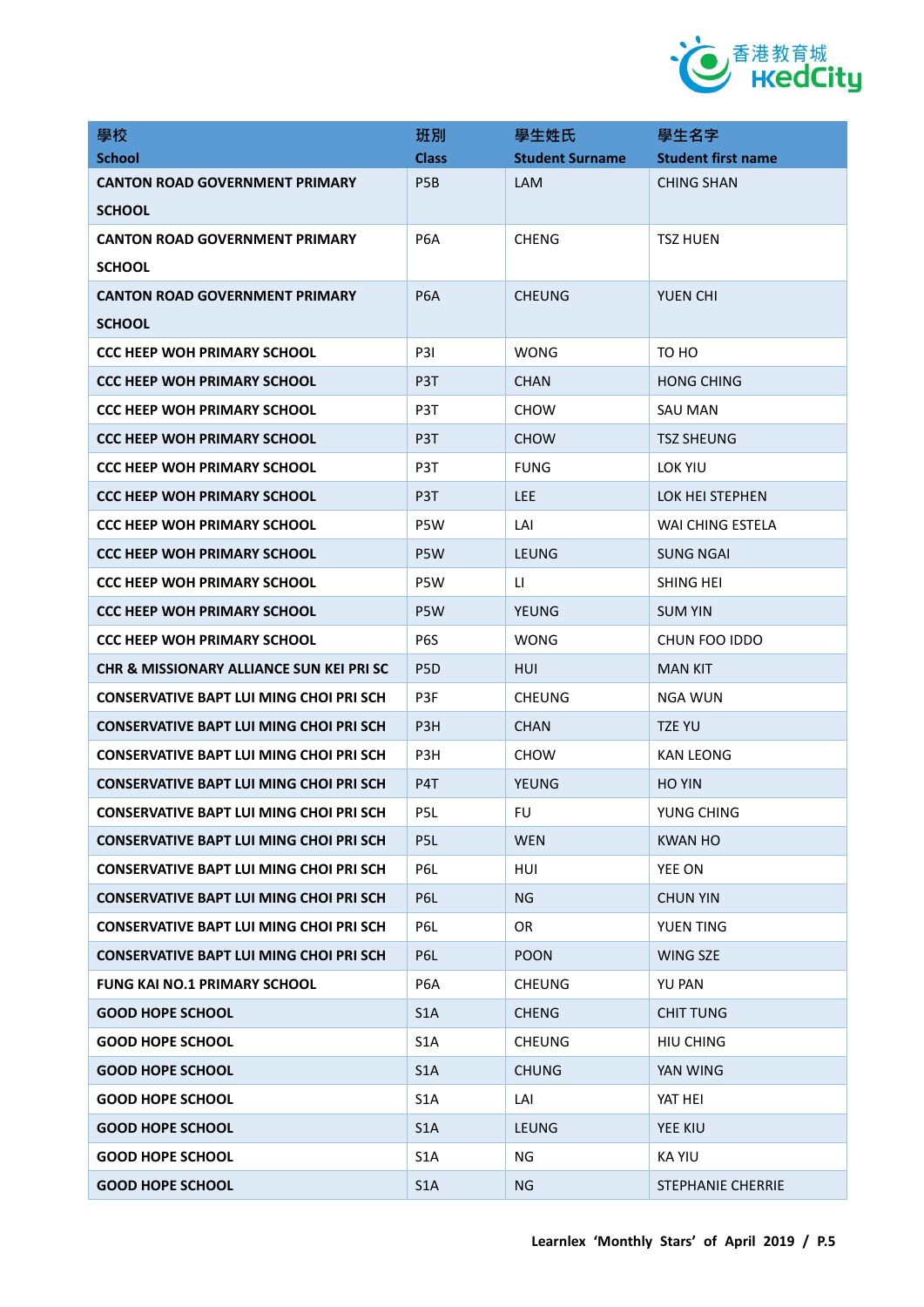

| 學校                                             | 班別               | 學生姓氏                   | 學生名字                      |
|------------------------------------------------|------------------|------------------------|---------------------------|
| <b>School</b>                                  | <b>Class</b>     | <b>Student Surname</b> | <b>Student first name</b> |
| <b>CANTON ROAD GOVERNMENT PRIMARY</b>          | P <sub>5</sub> B | LAM                    | <b>CHING SHAN</b>         |
| <b>SCHOOL</b>                                  |                  |                        |                           |
| <b>CANTON ROAD GOVERNMENT PRIMARY</b>          | P <sub>6</sub> A | <b>CHENG</b>           | <b>TSZ HUEN</b>           |
| <b>SCHOOL</b>                                  |                  |                        |                           |
| <b>CANTON ROAD GOVERNMENT PRIMARY</b>          | P <sub>6</sub> A | <b>CHEUNG</b>          | YUEN CHI                  |
| <b>SCHOOL</b>                                  |                  |                        |                           |
| <b>CCC HEEP WOH PRIMARY SCHOOL</b>             | P3I              | <b>WONG</b>            | TO HO                     |
| <b>CCC HEEP WOH PRIMARY SCHOOL</b>             | P3T              | <b>CHAN</b>            | <b>HONG CHING</b>         |
| <b>CCC HEEP WOH PRIMARY SCHOOL</b>             | P3T              | <b>CHOW</b>            | SAU MAN                   |
| <b>CCC HEEP WOH PRIMARY SCHOOL</b>             | P3T              | <b>CHOW</b>            | <b>TSZ SHEUNG</b>         |
| <b>CCC HEEP WOH PRIMARY SCHOOL</b>             | P <sub>3</sub> T | <b>FUNG</b>            | LOK YIU                   |
| <b>CCC HEEP WOH PRIMARY SCHOOL</b>             | P <sub>3</sub> T | LEE.                   | LOK HEI STEPHEN           |
| <b>CCC HEEP WOH PRIMARY SCHOOL</b>             | P5W              | LAI                    | <b>WAI CHING ESTELA</b>   |
| <b>CCC HEEP WOH PRIMARY SCHOOL</b>             | P5W              | <b>LEUNG</b>           | SUNG NGAI                 |
| <b>CCC HEEP WOH PRIMARY SCHOOL</b>             | P5W              | LI.                    | SHING HEI                 |
| <b>CCC HEEP WOH PRIMARY SCHOOL</b>             | P5W              | <b>YEUNG</b>           | <b>SUM YIN</b>            |
| <b>CCC HEEP WOH PRIMARY SCHOOL</b>             | P <sub>6</sub> S | WONG                   | CHUN FOO IDDO             |
| CHR & MISSIONARY ALLIANCE SUN KEI PRI SC       | P <sub>5</sub> D | HUI                    | <b>MAN KIT</b>            |
| CONSERVATIVE BAPT LUI MING CHOI PRI SCH        | P3F              | <b>CHEUNG</b>          | NGA WUN                   |
| <b>CONSERVATIVE BAPT LUI MING CHOI PRI SCH</b> | P <sub>3</sub> H | <b>CHAN</b>            | TZE YU                    |
| CONSERVATIVE BAPT LUI MING CHOI PRI SCH        | P3H              | <b>CHOW</b>            | <b>KAN LEONG</b>          |
| <b>CONSERVATIVE BAPT LUI MING CHOI PRI SCH</b> | P4T              | <b>YEUNG</b>           | <b>HO YIN</b>             |
| <b>CONSERVATIVE BAPT LUI MING CHOI PRI SCH</b> | P <sub>5L</sub>  | FU                     | YUNG CHING                |
| <b>CONSERVATIVE BAPT LUI MING CHOI PRI SCH</b> | P <sub>5</sub> L | <b>WEN</b>             | <b>KWAN HO</b>            |
| <b>CONSERVATIVE BAPT LUI MING CHOI PRI SCH</b> | P6L              | HUI                    | YEE ON                    |
| <b>CONSERVATIVE BAPT LUI MING CHOI PRI SCH</b> | P6L              | NG                     | <b>CHUN YIN</b>           |
| <b>CONSERVATIVE BAPT LUI MING CHOI PRI SCH</b> | P6L              | <b>OR</b>              | YUEN TING                 |
| <b>CONSERVATIVE BAPT LUI MING CHOI PRI SCH</b> | P6L              | <b>POON</b>            | <b>WING SZE</b>           |
| <b>FUNG KAI NO.1 PRIMARY SCHOOL</b>            | P6A              | <b>CHEUNG</b>          | <b>YU PAN</b>             |
| <b>GOOD HOPE SCHOOL</b>                        | S1A              | <b>CHENG</b>           | <b>CHIT TUNG</b>          |
| <b>GOOD HOPE SCHOOL</b>                        | S <sub>1</sub> A | <b>CHEUNG</b>          | <b>HIU CHING</b>          |
| <b>GOOD HOPE SCHOOL</b>                        | S1A              | <b>CHUNG</b>           | YAN WING                  |
| <b>GOOD HOPE SCHOOL</b>                        | S <sub>1</sub> A | LAI                    | YAT HEI                   |
| <b>GOOD HOPE SCHOOL</b>                        | S <sub>1</sub> A | <b>LEUNG</b>           | YEE KIU                   |
| <b>GOOD HOPE SCHOOL</b>                        | S <sub>1</sub> A | <b>NG</b>              | <b>KA YIU</b>             |
| <b>GOOD HOPE SCHOOL</b>                        | S1A              | <b>NG</b>              | <b>STEPHANIE CHERRIE</b>  |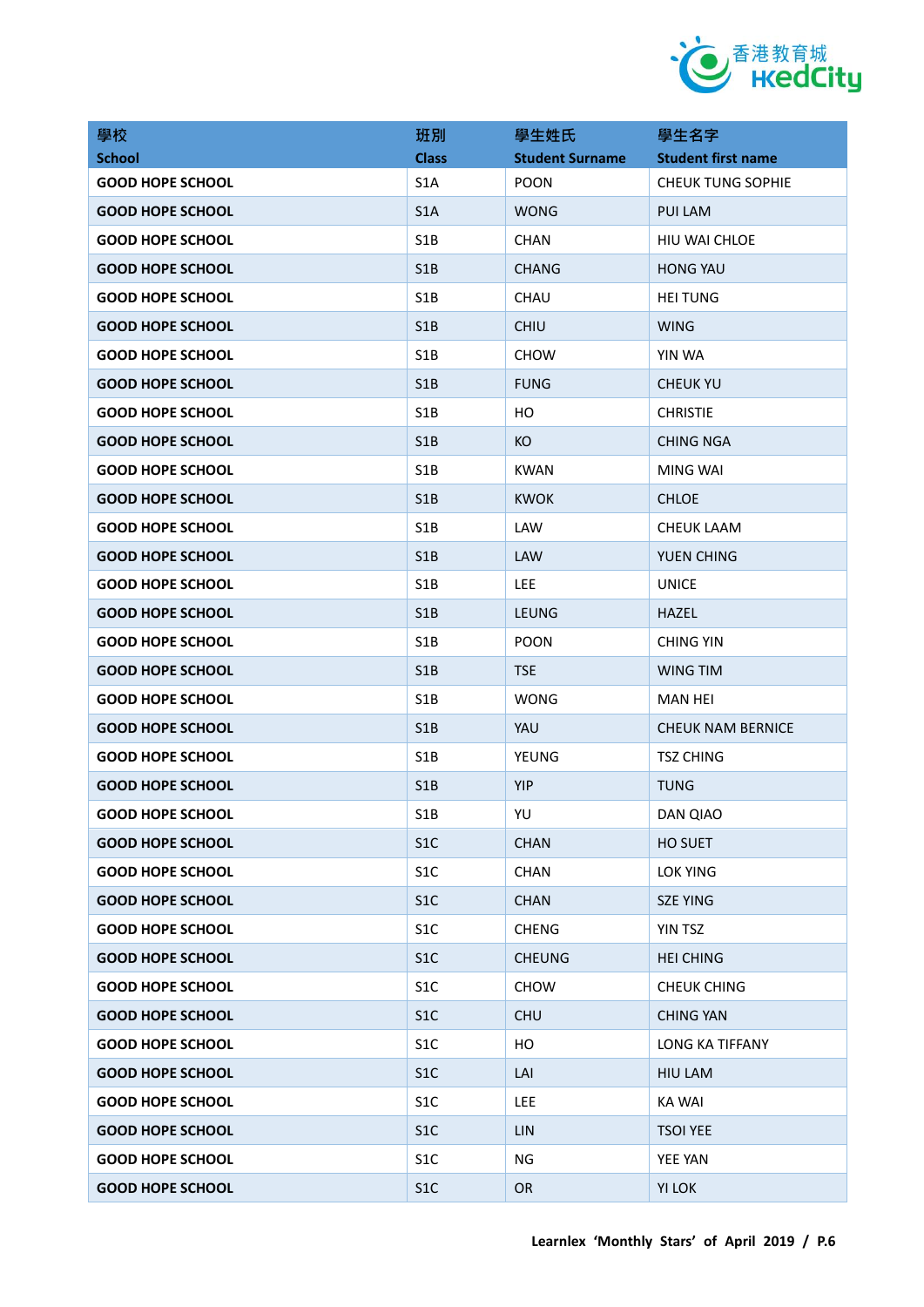

| 學校                      | 班別               | 學生姓氏                   | 學生名字                      |
|-------------------------|------------------|------------------------|---------------------------|
| <b>School</b>           | <b>Class</b>     | <b>Student Surname</b> | <b>Student first name</b> |
| <b>GOOD HOPE SCHOOL</b> | S <sub>1</sub> A | <b>POON</b>            | <b>CHEUK TUNG SOPHIE</b>  |
| <b>GOOD HOPE SCHOOL</b> | S <sub>1</sub> A | <b>WONG</b>            | PUI LAM                   |
| <b>GOOD HOPE SCHOOL</b> | S <sub>1</sub> B | <b>CHAN</b>            | HIU WAI CHLOE             |
| <b>GOOD HOPE SCHOOL</b> | S <sub>1</sub> B | <b>CHANG</b>           | <b>HONG YAU</b>           |
| <b>GOOD HOPE SCHOOL</b> | S <sub>1</sub> B | CHAU                   | <b>HEI TUNG</b>           |
| <b>GOOD HOPE SCHOOL</b> | S <sub>1</sub> B | <b>CHIU</b>            | <b>WING</b>               |
| <b>GOOD HOPE SCHOOL</b> | S <sub>1</sub> B | <b>CHOW</b>            | YIN WA                    |
| <b>GOOD HOPE SCHOOL</b> | S <sub>1</sub> B | <b>FUNG</b>            | <b>CHEUK YU</b>           |
| <b>GOOD HOPE SCHOOL</b> | S <sub>1</sub> B | HО                     | <b>CHRISTIE</b>           |
| <b>GOOD HOPE SCHOOL</b> | S <sub>1</sub> B | KO                     | <b>CHING NGA</b>          |
| <b>GOOD HOPE SCHOOL</b> | S <sub>1</sub> B | <b>KWAN</b>            | MING WAI                  |
| <b>GOOD HOPE SCHOOL</b> | S1B              | <b>KWOK</b>            | <b>CHLOE</b>              |
| <b>GOOD HOPE SCHOOL</b> | S <sub>1</sub> B | LAW                    | <b>CHEUK LAAM</b>         |
| <b>GOOD HOPE SCHOOL</b> | S <sub>1</sub> B | <b>LAW</b>             | YUEN CHING                |
| <b>GOOD HOPE SCHOOL</b> | S <sub>1</sub> B | <b>LEE</b>             | <b>UNICE</b>              |
| <b>GOOD HOPE SCHOOL</b> | S <sub>1</sub> B | <b>LEUNG</b>           | <b>HAZEL</b>              |
| <b>GOOD HOPE SCHOOL</b> | S1B              | <b>POON</b>            | <b>CHING YIN</b>          |
| <b>GOOD HOPE SCHOOL</b> | S <sub>1</sub> B | <b>TSE</b>             | WING TIM                  |
| <b>GOOD HOPE SCHOOL</b> | S <sub>1</sub> B | <b>WONG</b>            | MAN HEI                   |
| <b>GOOD HOPE SCHOOL</b> | S1B              | YAU                    | <b>CHEUK NAM BERNICE</b>  |
| <b>GOOD HOPE SCHOOL</b> | S <sub>1</sub> B | YEUNG                  | <b>TSZ CHING</b>          |
| <b>GOOD HOPE SCHOOL</b> | S1B              | YIP                    | <b>TUNG</b>               |
| <b>GOOD HOPE SCHOOL</b> | S1B              | YU                     | DAN QIAO                  |
| <b>GOOD HOPE SCHOOL</b> | S <sub>1</sub> C | <b>CHAN</b>            | HO SUET                   |
| <b>GOOD HOPE SCHOOL</b> | S <sub>1</sub> C | CHAN                   | LOK YING                  |
| <b>GOOD HOPE SCHOOL</b> | S1C              | <b>CHAN</b>            | <b>SZE YING</b>           |
| <b>GOOD HOPE SCHOOL</b> | S <sub>1</sub> C | <b>CHENG</b>           | YIN TSZ                   |
| <b>GOOD HOPE SCHOOL</b> | S1C              | <b>CHEUNG</b>          | <b>HEI CHING</b>          |
| <b>GOOD HOPE SCHOOL</b> | S <sub>1</sub> C | <b>CHOW</b>            | <b>CHEUK CHING</b>        |
| <b>GOOD HOPE SCHOOL</b> | S1C              | <b>CHU</b>             | <b>CHING YAN</b>          |
| <b>GOOD HOPE SCHOOL</b> | S <sub>1</sub> C | HO                     | LONG KA TIFFANY           |
| <b>GOOD HOPE SCHOOL</b> | S1C              | LAI                    | <b>HIU LAM</b>            |
| <b>GOOD HOPE SCHOOL</b> | S <sub>1</sub> C | <b>LEE</b>             | <b>KA WAI</b>             |
| <b>GOOD HOPE SCHOOL</b> | S1C              | <b>LIN</b>             | <b>TSOI YEE</b>           |
| <b>GOOD HOPE SCHOOL</b> | S <sub>1</sub> C | ΝG                     | YEE YAN                   |
| <b>GOOD HOPE SCHOOL</b> | S1C              | <b>OR</b>              | YI LOK                    |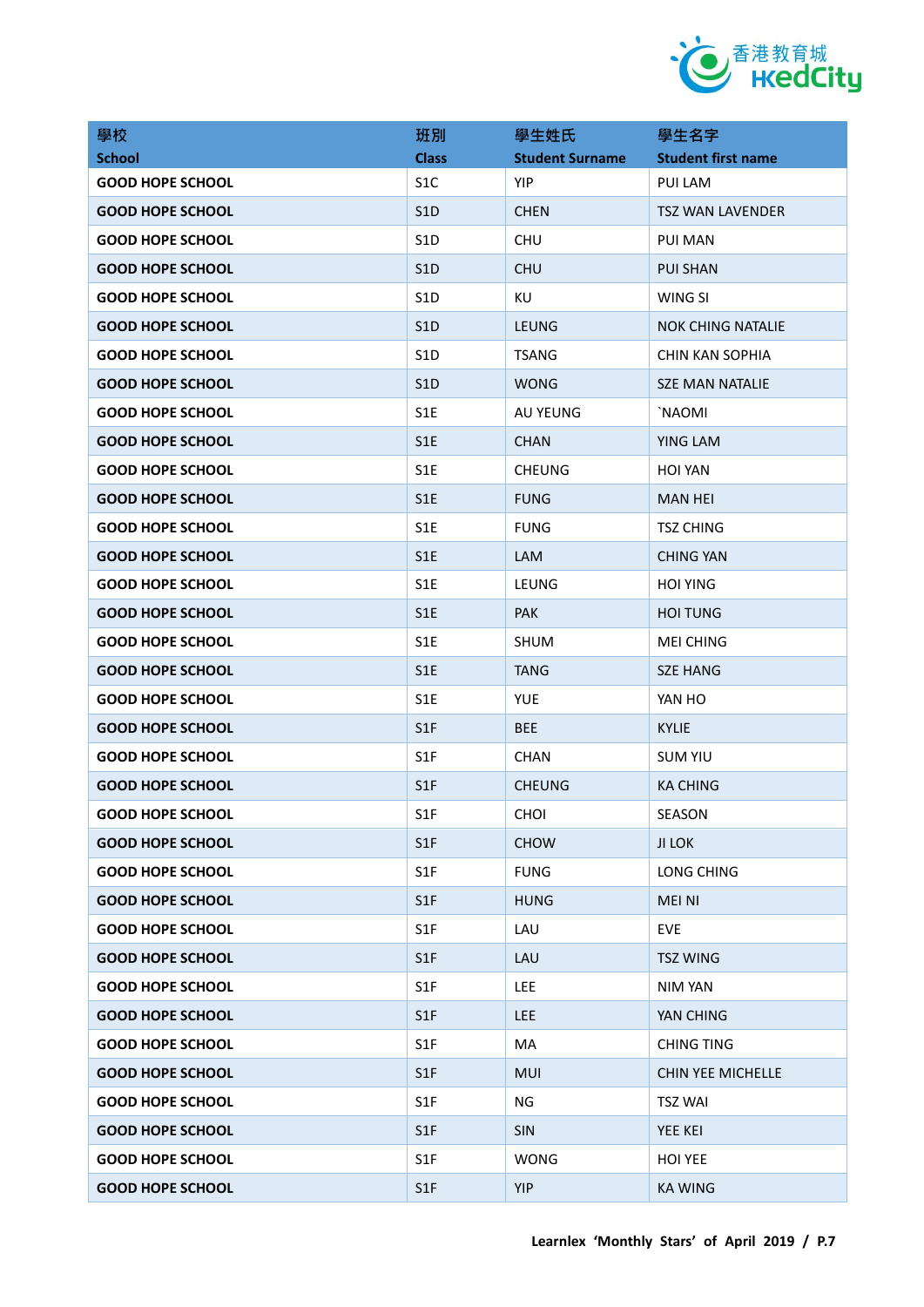

| 學校                      | 班別               | 學生姓氏                   | 學生名字                      |
|-------------------------|------------------|------------------------|---------------------------|
| <b>School</b>           | <b>Class</b>     | <b>Student Surname</b> | <b>Student first name</b> |
| <b>GOOD HOPE SCHOOL</b> | S <sub>1</sub> C | <b>YIP</b>             | PUI LAM                   |
| <b>GOOD HOPE SCHOOL</b> | S <sub>1</sub> D | <b>CHEN</b>            | <b>TSZ WAN LAVENDER</b>   |
| <b>GOOD HOPE SCHOOL</b> | S <sub>1</sub> D | <b>CHU</b>             | PUI MAN                   |
| <b>GOOD HOPE SCHOOL</b> | S1D              | <b>CHU</b>             | <b>PUI SHAN</b>           |
| <b>GOOD HOPE SCHOOL</b> | S <sub>1</sub> D | KU                     | WING SI                   |
| <b>GOOD HOPE SCHOOL</b> | S <sub>1</sub> D | <b>LEUNG</b>           | <b>NOK CHING NATALIE</b>  |
| <b>GOOD HOPE SCHOOL</b> | S <sub>1</sub> D | <b>TSANG</b>           | <b>CHIN KAN SOPHIA</b>    |
| <b>GOOD HOPE SCHOOL</b> | S <sub>1</sub> D | <b>WONG</b>            | <b>SZE MAN NATALIE</b>    |
| <b>GOOD HOPE SCHOOL</b> | S <sub>1</sub> E | AU YEUNG               | `NAOMI                    |
| <b>GOOD HOPE SCHOOL</b> | S <sub>1</sub> E | <b>CHAN</b>            | YING LAM                  |
| <b>GOOD HOPE SCHOOL</b> | S <sub>1</sub> E | <b>CHEUNG</b>          | <b>HOI YAN</b>            |
| <b>GOOD HOPE SCHOOL</b> | S <sub>1</sub> E | <b>FUNG</b>            | <b>MAN HEI</b>            |
| <b>GOOD HOPE SCHOOL</b> | S <sub>1</sub> E | <b>FUNG</b>            | <b>TSZ CHING</b>          |
| <b>GOOD HOPE SCHOOL</b> | S <sub>1</sub> E | LAM                    | CHING YAN                 |
| <b>GOOD HOPE SCHOOL</b> | S <sub>1</sub> E | LEUNG                  | <b>HOI YING</b>           |
| <b>GOOD HOPE SCHOOL</b> | S <sub>1</sub> E | <b>PAK</b>             | <b>HOI TUNG</b>           |
| <b>GOOD HOPE SCHOOL</b> | S1E              | <b>SHUM</b>            | <b>MEI CHING</b>          |
| <b>GOOD HOPE SCHOOL</b> | S <sub>1</sub> E | <b>TANG</b>            | <b>SZE HANG</b>           |
| <b>GOOD HOPE SCHOOL</b> | S <sub>1</sub> E | <b>YUE</b>             | YAN HO                    |
| <b>GOOD HOPE SCHOOL</b> | S1F              | <b>BEE</b>             | <b>KYLIE</b>              |
| <b>GOOD HOPE SCHOOL</b> | S <sub>1</sub> F | <b>CHAN</b>            | <b>SUM YIU</b>            |
| <b>GOOD HOPE SCHOOL</b> | S <sub>1</sub> F | <b>CHEUNG</b>          | <b>KA CHING</b>           |
| <b>GOOD HOPE SCHOOL</b> | S1F              | <b>CHOI</b>            | SEASON                    |
| <b>GOOD HOPE SCHOOL</b> | S1F              | <b>CHOW</b>            | <b>JI LOK</b>             |
| <b>GOOD HOPE SCHOOL</b> | S <sub>1</sub> F | <b>FUNG</b>            | LONG CHING                |
| <b>GOOD HOPE SCHOOL</b> | S1F              | <b>HUNG</b>            | <b>MEI NI</b>             |
| <b>GOOD HOPE SCHOOL</b> | S1F              | LAU                    | <b>EVE</b>                |
| <b>GOOD HOPE SCHOOL</b> | S1F              | LAU                    | <b>TSZ WING</b>           |
| <b>GOOD HOPE SCHOOL</b> | S1F              | LEE                    | NIM YAN                   |
| <b>GOOD HOPE SCHOOL</b> | S1F              | <b>LEE</b>             | YAN CHING                 |
| <b>GOOD HOPE SCHOOL</b> | S1F              | MA                     | <b>CHING TING</b>         |
| <b>GOOD HOPE SCHOOL</b> | S1F              | MUI                    | CHIN YEE MICHELLE         |
| <b>GOOD HOPE SCHOOL</b> | S <sub>1</sub> F | ΝG                     | <b>TSZ WAI</b>            |
| <b>GOOD HOPE SCHOOL</b> | S1F              | <b>SIN</b>             | YEE KEI                   |
| <b>GOOD HOPE SCHOOL</b> | S <sub>1</sub> F | <b>WONG</b>            | <b>HOI YEE</b>            |
| <b>GOOD HOPE SCHOOL</b> | S1F              | YIP                    | <b>KA WING</b>            |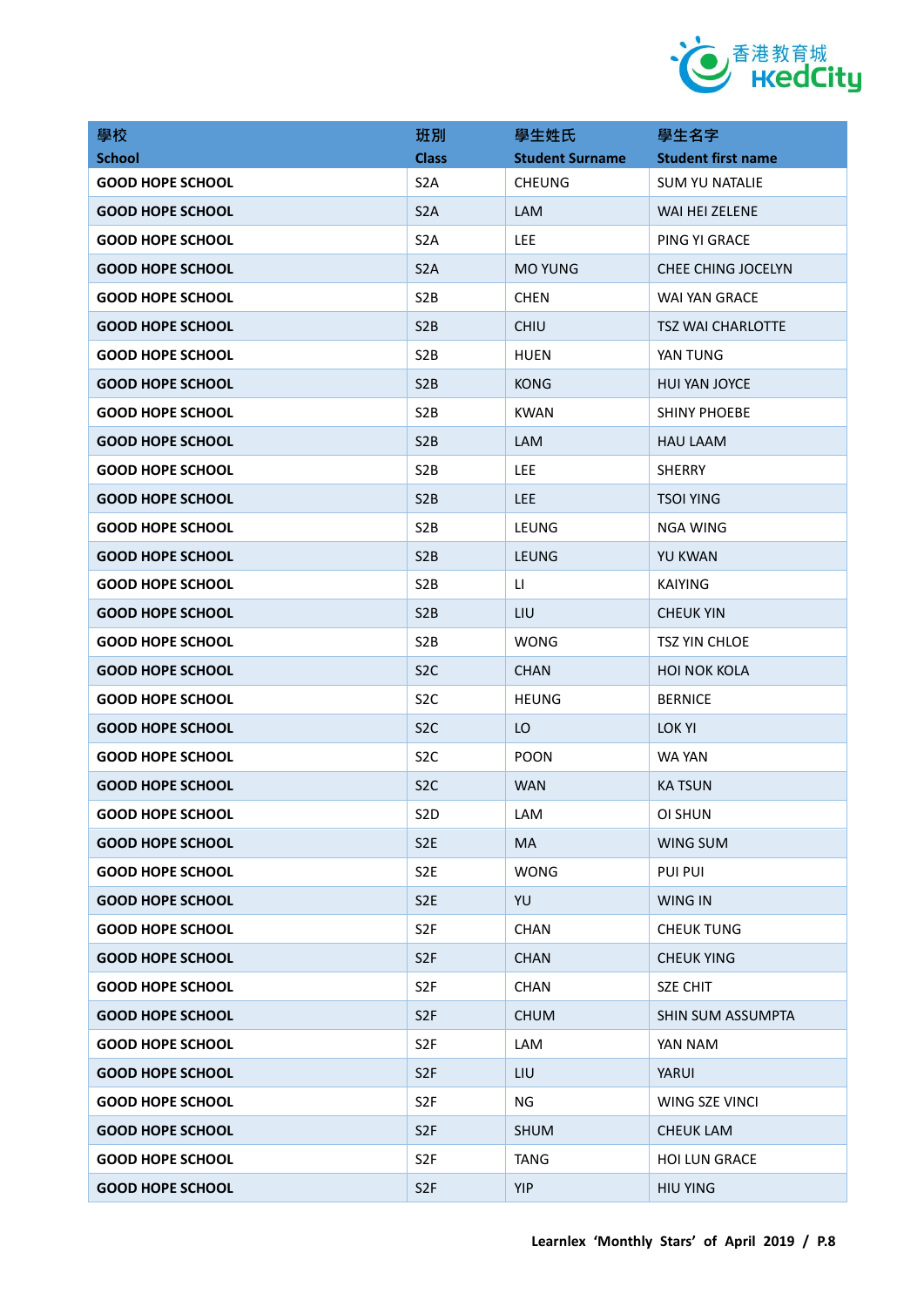

| 學校                      | 班別               | 學生姓氏                   | 學生名字                      |
|-------------------------|------------------|------------------------|---------------------------|
| <b>School</b>           | <b>Class</b>     | <b>Student Surname</b> | <b>Student first name</b> |
| <b>GOOD HOPE SCHOOL</b> | S <sub>2</sub> A | <b>CHEUNG</b>          | <b>SUM YU NATALIE</b>     |
| <b>GOOD HOPE SCHOOL</b> | S <sub>2</sub> A | LAM                    | WAI HEI ZELENE            |
| <b>GOOD HOPE SCHOOL</b> | S <sub>2</sub> A | <b>LEE</b>             | PING YI GRACE             |
| <b>GOOD HOPE SCHOOL</b> | S <sub>2</sub> A | <b>MO YUNG</b>         | CHEE CHING JOCELYN        |
| <b>GOOD HOPE SCHOOL</b> | S <sub>2</sub> B | <b>CHEN</b>            | WAI YAN GRACE             |
| <b>GOOD HOPE SCHOOL</b> | S <sub>2</sub> B | <b>CHIU</b>            | <b>TSZ WAI CHARLOTTE</b>  |
| <b>GOOD HOPE SCHOOL</b> | S <sub>2</sub> B | <b>HUEN</b>            | YAN TUNG                  |
| <b>GOOD HOPE SCHOOL</b> | S <sub>2</sub> B | <b>KONG</b>            | <b>HUI YAN JOYCE</b>      |
| <b>GOOD HOPE SCHOOL</b> | S <sub>2</sub> B | <b>KWAN</b>            | <b>SHINY PHOEBE</b>       |
| <b>GOOD HOPE SCHOOL</b> | S <sub>2</sub> B | LAM                    | <b>HAU LAAM</b>           |
| <b>GOOD HOPE SCHOOL</b> | S <sub>2</sub> B | LEE                    | <b>SHERRY</b>             |
| <b>GOOD HOPE SCHOOL</b> | S <sub>2</sub> B | <b>LEE</b>             | <b>TSOI YING</b>          |
| <b>GOOD HOPE SCHOOL</b> | S <sub>2</sub> B | LEUNG                  | <b>NGA WING</b>           |
| <b>GOOD HOPE SCHOOL</b> | S <sub>2</sub> B | <b>LEUNG</b>           | <b>YU KWAN</b>            |
| <b>GOOD HOPE SCHOOL</b> | S <sub>2</sub> B | $\mathsf{L}$           | <b>KAIYING</b>            |
| <b>GOOD HOPE SCHOOL</b> | S <sub>2</sub> B | LIU                    | <b>CHEUK YIN</b>          |
| <b>GOOD HOPE SCHOOL</b> | S <sub>2</sub> B | <b>WONG</b>            | <b>TSZ YIN CHLOE</b>      |
| <b>GOOD HOPE SCHOOL</b> | S <sub>2</sub> C | <b>CHAN</b>            | <b>HOI NOK KOLA</b>       |
| <b>GOOD HOPE SCHOOL</b> | S <sub>2</sub> C | <b>HEUNG</b>           | <b>BERNICE</b>            |
| <b>GOOD HOPE SCHOOL</b> | S <sub>2</sub> C | LO                     | LOK YI                    |
| <b>GOOD HOPE SCHOOL</b> | S <sub>2</sub> C | <b>POON</b>            | WA YAN                    |
| <b>GOOD HOPE SCHOOL</b> | S <sub>2</sub> C | <b>WAN</b>             | <b>KATSUN</b>             |
| <b>GOOD HOPE SCHOOL</b> | S <sub>2</sub> D | LAM                    | OI SHUN                   |
| <b>GOOD HOPE SCHOOL</b> | S <sub>2</sub> E | MA                     | <b>WING SUM</b>           |
| <b>GOOD HOPE SCHOOL</b> | S <sub>2E</sub>  | <b>WONG</b>            | <b>PUI PUI</b>            |
| <b>GOOD HOPE SCHOOL</b> | S <sub>2E</sub>  | YU                     | <b>WING IN</b>            |
| <b>GOOD HOPE SCHOOL</b> | S <sub>2F</sub>  | <b>CHAN</b>            | <b>CHEUK TUNG</b>         |
| <b>GOOD HOPE SCHOOL</b> | S <sub>2F</sub>  | <b>CHAN</b>            | <b>CHEUK YING</b>         |
| <b>GOOD HOPE SCHOOL</b> | S <sub>2F</sub>  | <b>CHAN</b>            | <b>SZE CHIT</b>           |
| <b>GOOD HOPE SCHOOL</b> | S <sub>2F</sub>  | <b>CHUM</b>            | SHIN SUM ASSUMPTA         |
| <b>GOOD HOPE SCHOOL</b> | S <sub>2F</sub>  | LAM                    | YAN NAM                   |
| <b>GOOD HOPE SCHOOL</b> | S <sub>2F</sub>  | LIU                    | YARUI                     |
| <b>GOOD HOPE SCHOOL</b> | S <sub>2F</sub>  | ΝG                     | WING SZE VINCI            |
| <b>GOOD HOPE SCHOOL</b> | S <sub>2F</sub>  | <b>SHUM</b>            | <b>CHEUK LAM</b>          |
| <b>GOOD HOPE SCHOOL</b> | S <sub>2F</sub>  | <b>TANG</b>            | <b>HOI LUN GRACE</b>      |
| <b>GOOD HOPE SCHOOL</b> | S <sub>2F</sub>  | YIP                    | <b>HIU YING</b>           |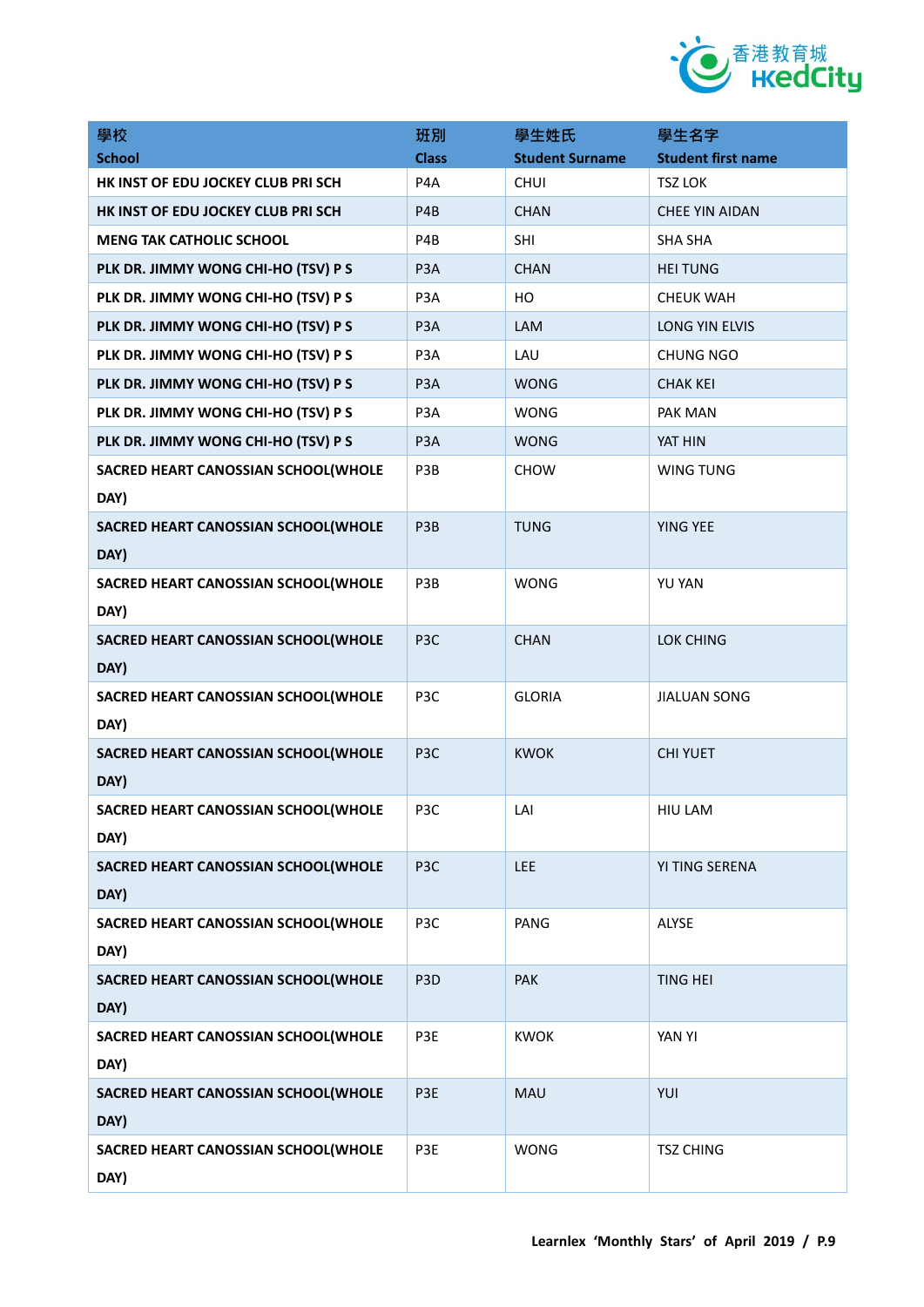

| 學校                                  | 班別               | 學生姓氏                   | 學生名字                      |
|-------------------------------------|------------------|------------------------|---------------------------|
| <b>School</b>                       | <b>Class</b>     | <b>Student Surname</b> | <b>Student first name</b> |
| HK INST OF EDU JOCKEY CLUB PRI SCH  | P <sub>4</sub> A | <b>CHUI</b>            | <b>TSZ LOK</b>            |
| HK INST OF EDU JOCKEY CLUB PRI SCH  | P4B              | <b>CHAN</b>            | <b>CHEE YIN AIDAN</b>     |
| <b>MENG TAK CATHOLIC SCHOOL</b>     | P4B              | SHI                    | <b>SHA SHA</b>            |
| PLK DR. JIMMY WONG CHI-HO (TSV) P S | P <sub>3</sub> A | <b>CHAN</b>            | <b>HEI TUNG</b>           |
| PLK DR. JIMMY WONG CHI-HO (TSV) P S | P <sub>3</sub> A | HO                     | <b>CHEUK WAH</b>          |
| PLK DR. JIMMY WONG CHI-HO (TSV) P S | P <sub>3</sub> A | LAM                    | LONG YIN ELVIS            |
| PLK DR. JIMMY WONG CHI-HO (TSV) P S | P <sub>3</sub> A | LAU                    | <b>CHUNG NGO</b>          |
| PLK DR. JIMMY WONG CHI-HO (TSV) P S | P <sub>3</sub> A | <b>WONG</b>            | <b>CHAK KEI</b>           |
| PLK DR. JIMMY WONG CHI-HO (TSV) P S | P <sub>3</sub> A | <b>WONG</b>            | PAK MAN                   |
| PLK DR. JIMMY WONG CHI-HO (TSV) P S | P <sub>3</sub> A | <b>WONG</b>            | YAT HIN                   |
| SACRED HEART CANOSSIAN SCHOOL(WHOLE | P3B              | <b>CHOW</b>            | <b>WING TUNG</b>          |
| DAY)                                |                  |                        |                           |
| SACRED HEART CANOSSIAN SCHOOL(WHOLE | P3B              | <b>TUNG</b>            | YING YEE                  |
| DAY)                                |                  |                        |                           |
| SACRED HEART CANOSSIAN SCHOOL(WHOLE | P3B              | <b>WONG</b>            | YU YAN                    |
| DAY)                                |                  |                        |                           |
| SACRED HEART CANOSSIAN SCHOOL(WHOLE | P <sub>3C</sub>  | <b>CHAN</b>            | LOK CHING                 |
| DAY)                                |                  |                        |                           |
| SACRED HEART CANOSSIAN SCHOOL(WHOLE | P3C              | <b>GLORIA</b>          | <b>JIALUAN SONG</b>       |
| DAY)                                |                  |                        |                           |
| SACRED HEART CANOSSIAN SCHOOL(WHOLE | P <sub>3</sub> C | <b>KWOK</b>            | <b>CHI YUET</b>           |
| DAY)                                |                  |                        |                           |
| SACRED HEART CANOSSIAN SCHOOL(WHOLE | P3C              | LAI                    | HIU LAM                   |
| DAY)                                |                  |                        |                           |
| SACRED HEART CANOSSIAN SCHOOL(WHOLE | P <sub>3</sub> C | LEE                    | YI TING SERENA            |
| DAY)                                |                  |                        |                           |
| SACRED HEART CANOSSIAN SCHOOL(WHOLE | P3C              | PANG                   | <b>ALYSE</b>              |
| DAY)                                |                  |                        |                           |
| SACRED HEART CANOSSIAN SCHOOL(WHOLE | P <sub>3</sub> D | PAK                    | <b>TING HEI</b>           |
| DAY)                                |                  |                        |                           |
| SACRED HEART CANOSSIAN SCHOOL(WHOLE | P3E              | <b>KWOK</b>            | YAN YI                    |
| DAY)                                |                  |                        |                           |
| SACRED HEART CANOSSIAN SCHOOL(WHOLE | P3E              | <b>MAU</b>             | YUI                       |
| DAY)                                |                  |                        |                           |
| SACRED HEART CANOSSIAN SCHOOL(WHOLE | P3E              | <b>WONG</b>            | <b>TSZ CHING</b>          |
| DAY)                                |                  |                        |                           |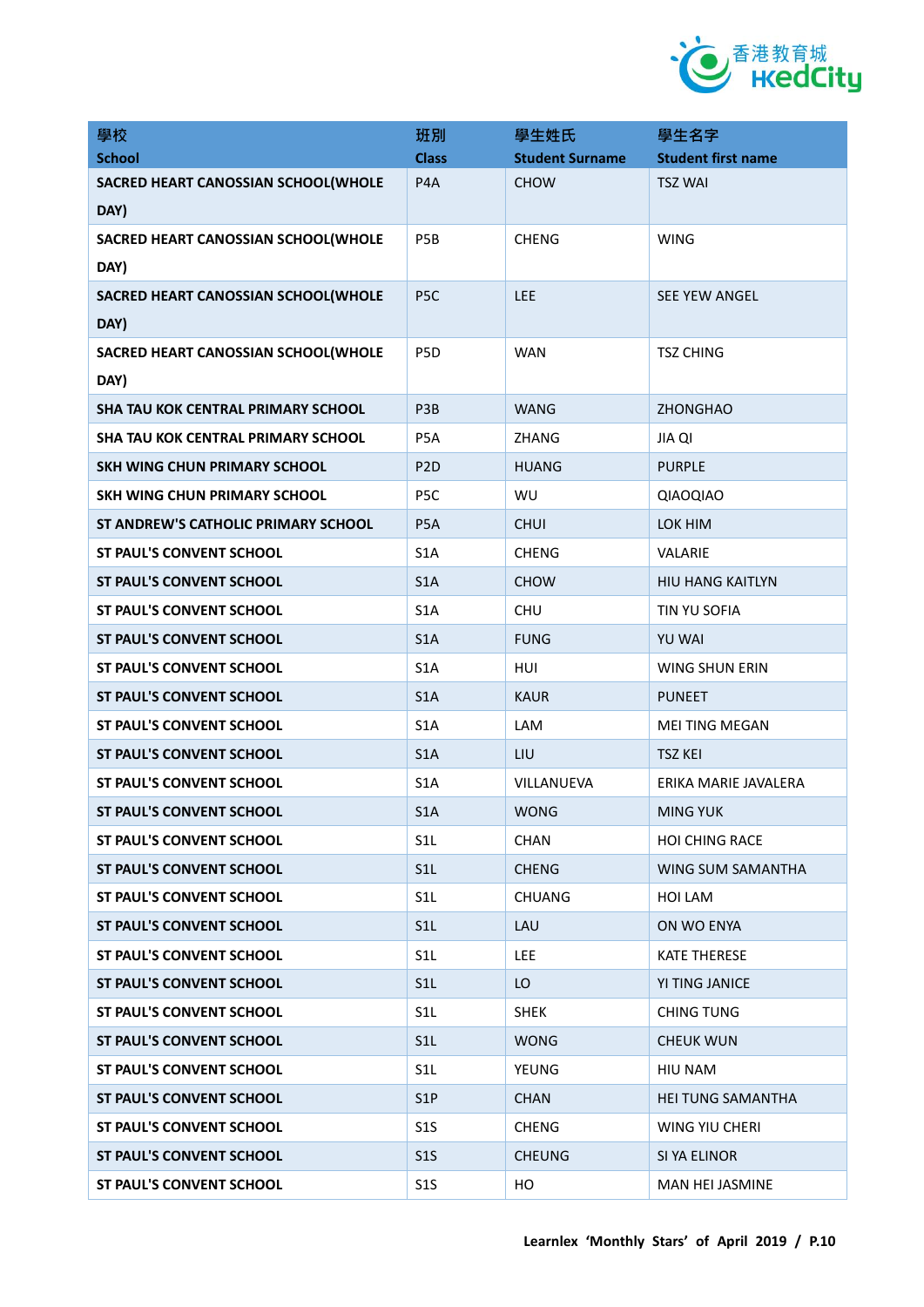

| 學校                                        | 班別               | 學生姓氏                   | 學生名字                      |
|-------------------------------------------|------------------|------------------------|---------------------------|
| <b>School</b>                             | <b>Class</b>     | <b>Student Surname</b> | <b>Student first name</b> |
| SACRED HEART CANOSSIAN SCHOOL(WHOLE       | P4A              | <b>CHOW</b>            | <b>TSZ WAI</b>            |
| DAY)                                      |                  |                        |                           |
| SACRED HEART CANOSSIAN SCHOOL(WHOLE       | P <sub>5</sub> B | <b>CHENG</b>           | <b>WING</b>               |
| DAY)                                      |                  |                        |                           |
| SACRED HEART CANOSSIAN SCHOOL(WHOLE       | P <sub>5</sub> C | LEE                    | <b>SEE YEW ANGEL</b>      |
| DAY)                                      |                  |                        |                           |
| SACRED HEART CANOSSIAN SCHOOL(WHOLE       | P <sub>5</sub> D | <b>WAN</b>             | <b>TSZ CHING</b>          |
| DAY)                                      |                  |                        |                           |
| <b>SHA TAU KOK CENTRAL PRIMARY SCHOOL</b> | P3B              | <b>WANG</b>            | <b>ZHONGHAO</b>           |
| SHA TAU KOK CENTRAL PRIMARY SCHOOL        | P5A              | ZHANG                  | <b>JIA QI</b>             |
| <b>SKH WING CHUN PRIMARY SCHOOL</b>       | P <sub>2</sub> D | <b>HUANG</b>           | <b>PURPLE</b>             |
| <b>SKH WING CHUN PRIMARY SCHOOL</b>       | P <sub>5C</sub>  | WU                     | QIAOQIAO                  |
| ST ANDREW'S CATHOLIC PRIMARY SCHOOL       | P <sub>5</sub> A | <b>CHUI</b>            | LOK HIM                   |
| <b>ST PAUL'S CONVENT SCHOOL</b>           | S <sub>1</sub> A | <b>CHENG</b>           | <b>VALARIE</b>            |
| ST PAUL'S CONVENT SCHOOL                  | S <sub>1</sub> A | <b>CHOW</b>            | <b>HIU HANG KAITLYN</b>   |
| <b>ST PAUL'S CONVENT SCHOOL</b>           | S <sub>1</sub> A | <b>CHU</b>             | TIN YU SOFIA              |
| <b>ST PAUL'S CONVENT SCHOOL</b>           | S <sub>1</sub> A | <b>FUNG</b>            | <b>YU WAI</b>             |
| <b>ST PAUL'S CONVENT SCHOOL</b>           | S <sub>1</sub> A | HUI                    | WING SHUN ERIN            |
| <b>ST PAUL'S CONVENT SCHOOL</b>           | S <sub>1</sub> A | <b>KAUR</b>            | <b>PUNEET</b>             |
| ST PAUL'S CONVENT SCHOOL                  | S <sub>1</sub> A | LAM                    | <b>MEI TING MEGAN</b>     |
| <b>ST PAUL'S CONVENT SCHOOL</b>           | S <sub>1</sub> A | LIU                    | <b>TSZ KEI</b>            |
| <b>ST PAUL'S CONVENT SCHOOL</b>           | S <sub>1</sub> A | VILLANUEVA             | ERIKA MARIE JAVALERA      |
| ST PAUL'S CONVENT SCHOOL                  | S1A              | <b>WONG</b>            | <b>MING YUK</b>           |
| <b>ST PAUL'S CONVENT SCHOOL</b>           | S <sub>1</sub> L | <b>CHAN</b>            | <b>HOI CHING RACE</b>     |
| <b>ST PAUL'S CONVENT SCHOOL</b>           | S1L              | <b>CHENG</b>           | WING SUM SAMANTHA         |
| ST PAUL'S CONVENT SCHOOL                  | S <sub>1</sub> L | <b>CHUANG</b>          | HOI LAM                   |
| <b>ST PAUL'S CONVENT SCHOOL</b>           | S1L              | LAU                    | ON WO ENYA                |
| ST PAUL'S CONVENT SCHOOL                  | S <sub>1</sub> L | <b>LEE</b>             | <b>KATE THERESE</b>       |
| <b>ST PAUL'S CONVENT SCHOOL</b>           | S1L              | LO                     | YI TING JANICE            |
| ST PAUL'S CONVENT SCHOOL                  | S <sub>1</sub> L | <b>SHEK</b>            | <b>CHING TUNG</b>         |
| <b>ST PAUL'S CONVENT SCHOOL</b>           | S <sub>1</sub> L | <b>WONG</b>            | <b>CHEUK WUN</b>          |
| ST PAUL'S CONVENT SCHOOL                  | S <sub>1</sub> L | YEUNG                  | HIU NAM                   |
| <b>ST PAUL'S CONVENT SCHOOL</b>           | S <sub>1</sub> P | <b>CHAN</b>            | <b>HEI TUNG SAMANTHA</b>  |
| ST PAUL'S CONVENT SCHOOL                  | S <sub>15</sub>  | <b>CHENG</b>           | WING YIU CHERI            |
| <b>ST PAUL'S CONVENT SCHOOL</b>           | S1S              | <b>CHEUNG</b>          | SI YA ELINOR              |
| ST PAUL'S CONVENT SCHOOL                  | S1S              | HO                     | MAN HEI JASMINE           |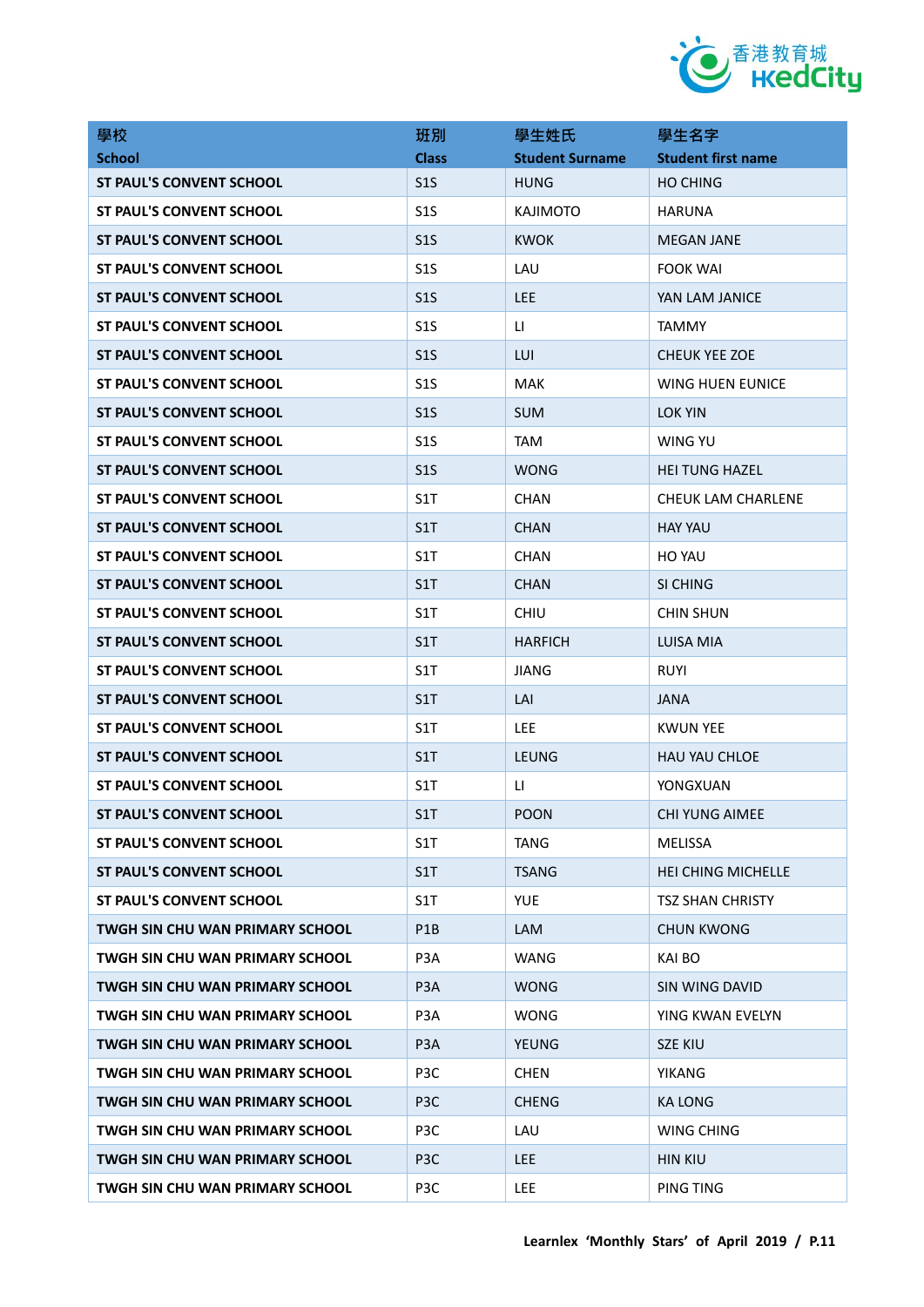

| 學校                                     | 班別               | 學生姓氏                   | 學生名字                      |
|----------------------------------------|------------------|------------------------|---------------------------|
| <b>School</b>                          | <b>Class</b>     | <b>Student Surname</b> | <b>Student first name</b> |
| <b>ST PAUL'S CONVENT SCHOOL</b>        | S <sub>15</sub>  | <b>HUNG</b>            | <b>HO CHING</b>           |
| <b>ST PAUL'S CONVENT SCHOOL</b>        | S <sub>15</sub>  | <b>KAJIMOTO</b>        | <b>HARUNA</b>             |
| <b>ST PAUL'S CONVENT SCHOOL</b>        | S <sub>15</sub>  | <b>KWOK</b>            | <b>MEGAN JANE</b>         |
| <b>ST PAUL'S CONVENT SCHOOL</b>        | S <sub>15</sub>  | LAU                    | <b>FOOK WAI</b>           |
| <b>ST PAUL'S CONVENT SCHOOL</b>        | S <sub>15</sub>  | <b>LEE</b>             | YAN LAM JANICE            |
| <b>ST PAUL'S CONVENT SCHOOL</b>        | S <sub>15</sub>  | $\mathsf{H}$           | <b>TAMMY</b>              |
| ST PAUL'S CONVENT SCHOOL               | S <sub>15</sub>  | LUI                    | <b>CHEUK YEE ZOE</b>      |
| <b>ST PAUL'S CONVENT SCHOOL</b>        | S <sub>15</sub>  | <b>MAK</b>             | WING HUEN EUNICE          |
| <b>ST PAUL'S CONVENT SCHOOL</b>        | S <sub>15</sub>  | <b>SUM</b>             | LOK YIN                   |
| <b>ST PAUL'S CONVENT SCHOOL</b>        | S <sub>15</sub>  | <b>TAM</b>             | WING YU                   |
| <b>ST PAUL'S CONVENT SCHOOL</b>        | S <sub>15</sub>  | <b>WONG</b>            | <b>HEI TUNG HAZEL</b>     |
| <b>ST PAUL'S CONVENT SCHOOL</b>        | S1T              | <b>CHAN</b>            | CHEUK LAM CHARLENE        |
| <b>ST PAUL'S CONVENT SCHOOL</b>        | S1T              | <b>CHAN</b>            | <b>HAY YAU</b>            |
| <b>ST PAUL'S CONVENT SCHOOL</b>        | S1T              | <b>CHAN</b>            | HO YAU                    |
| <b>ST PAUL'S CONVENT SCHOOL</b>        | S1T              | <b>CHAN</b>            | SI CHING                  |
| <b>ST PAUL'S CONVENT SCHOOL</b>        | S1T              | <b>CHIU</b>            | <b>CHIN SHUN</b>          |
| <b>ST PAUL'S CONVENT SCHOOL</b>        | S1T              | <b>HARFICH</b>         | LUISA MIA                 |
| <b>ST PAUL'S CONVENT SCHOOL</b>        | S1T              | JIANG                  | <b>RUYI</b>               |
| <b>ST PAUL'S CONVENT SCHOOL</b>        | S1T              | LAI                    | <b>JANA</b>               |
| <b>ST PAUL'S CONVENT SCHOOL</b>        | S1T              | <b>LEE</b>             | <b>KWUN YEE</b>           |
| <b>ST PAUL'S CONVENT SCHOOL</b>        | S <sub>1</sub> T | LEUNG                  | <b>HAU YAU CHLOE</b>      |
| ST PAUL'S CONVENT SCHOOL               | S1T              | LI.                    | YONGXUAN                  |
| <b>ST PAUL'S CONVENT SCHOOL</b>        | S1T              | <b>POON</b>            | <b>CHI YUNG AIMEE</b>     |
| <b>ST PAUL'S CONVENT SCHOOL</b>        | S1T              | <b>TANG</b>            | MELISSA                   |
| <b>ST PAUL'S CONVENT SCHOOL</b>        | S <sub>1</sub> T | <b>TSANG</b>           | HEI CHING MICHELLE        |
| ST PAUL'S CONVENT SCHOOL               | S1T              | <b>YUE</b>             | <b>TSZ SHAN CHRISTY</b>   |
| TWGH SIN CHU WAN PRIMARY SCHOOL        | P1B              | <b>LAM</b>             | <b>CHUN KWONG</b>         |
| TWGH SIN CHU WAN PRIMARY SCHOOL        | P3A              | <b>WANG</b>            | KAI BO                    |
| <b>TWGH SIN CHU WAN PRIMARY SCHOOL</b> | P <sub>3</sub> A | <b>WONG</b>            | SIN WING DAVID            |
| <b>TWGH SIN CHU WAN PRIMARY SCHOOL</b> | P3A              | <b>WONG</b>            | YING KWAN EVELYN          |
| TWGH SIN CHU WAN PRIMARY SCHOOL        | P <sub>3</sub> A | <b>YEUNG</b>           | <b>SZE KIU</b>            |
| <b>TWGH SIN CHU WAN PRIMARY SCHOOL</b> | P3C              | CHEN                   | YIKANG                    |
| <b>TWGH SIN CHU WAN PRIMARY SCHOOL</b> | P <sub>3</sub> C | <b>CHENG</b>           | <b>KA LONG</b>            |
| TWGH SIN CHU WAN PRIMARY SCHOOL        | P3C              | LAU                    | WING CHING                |
| TWGH SIN CHU WAN PRIMARY SCHOOL        | P <sub>3</sub> C | LEE.                   | <b>HIN KIU</b>            |
| TWGH SIN CHU WAN PRIMARY SCHOOL        | P3C              | LEE                    | PING TING                 |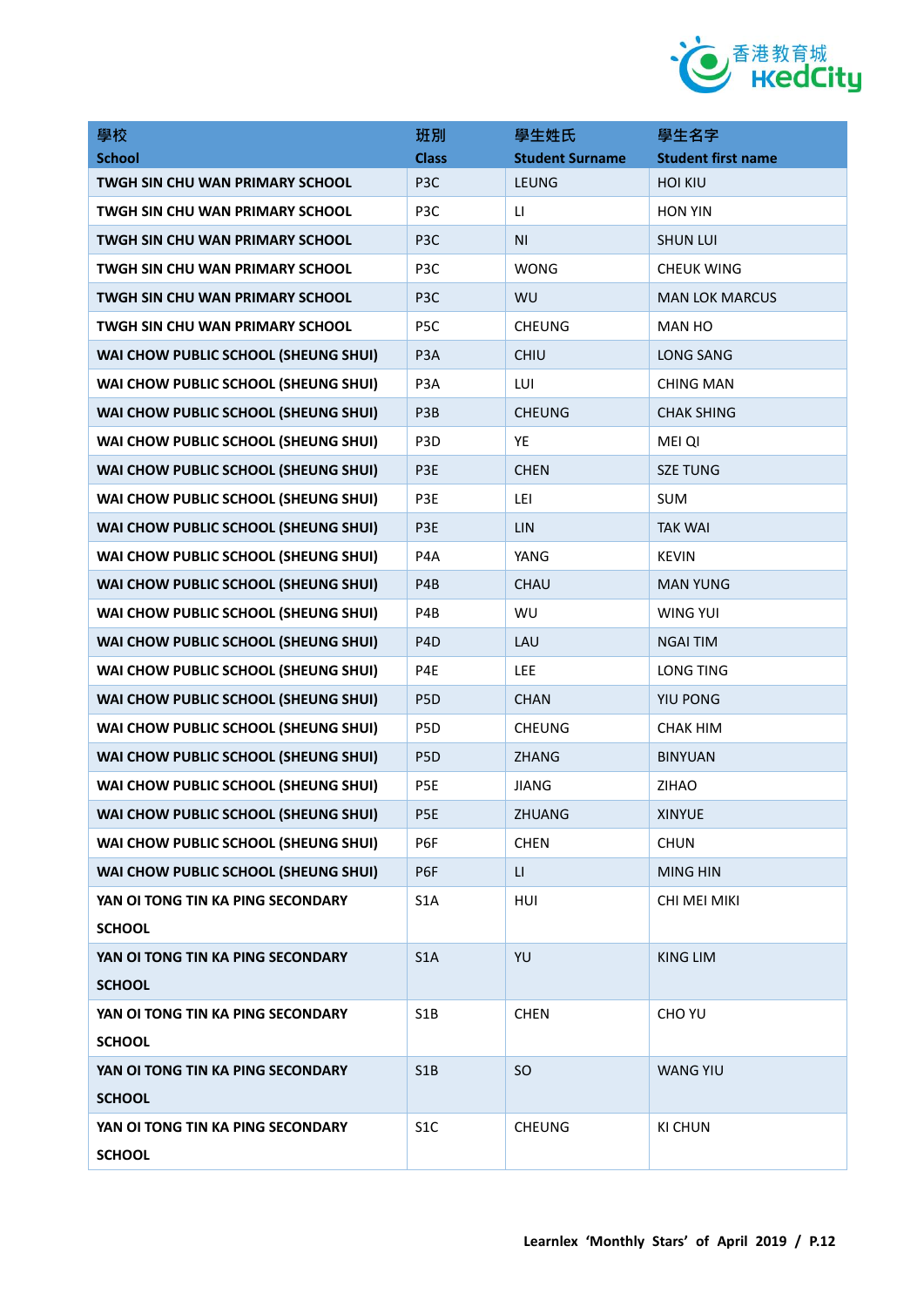

| 學校                                     | 班別               | 學生姓氏                   | 學生名字                      |
|----------------------------------------|------------------|------------------------|---------------------------|
| <b>School</b>                          | <b>Class</b>     | <b>Student Surname</b> | <b>Student first name</b> |
| TWGH SIN CHU WAN PRIMARY SCHOOL        | P <sub>3</sub> C | LEUNG                  | <b>HOI KIU</b>            |
| TWGH SIN CHU WAN PRIMARY SCHOOL        | P3C              | $\mathsf{L}\mathsf{I}$ | <b>HON YIN</b>            |
| TWGH SIN CHU WAN PRIMARY SCHOOL        | P <sub>3</sub> C | N <sub>1</sub>         | <b>SHUN LUI</b>           |
| TWGH SIN CHU WAN PRIMARY SCHOOL        | P3C              | <b>WONG</b>            | <b>CHEUK WING</b>         |
| <b>TWGH SIN CHU WAN PRIMARY SCHOOL</b> | P <sub>3</sub> C | WU                     | <b>MAN LOK MARCUS</b>     |
| TWGH SIN CHU WAN PRIMARY SCHOOL        | P <sub>5</sub> C | <b>CHEUNG</b>          | <b>MAN HO</b>             |
| WAI CHOW PUBLIC SCHOOL (SHEUNG SHUI)   | P <sub>3</sub> A | CHIU                   | <b>LONG SANG</b>          |
| WAI CHOW PUBLIC SCHOOL (SHEUNG SHUI)   | P3A              | LUI                    | <b>CHING MAN</b>          |
| WAI CHOW PUBLIC SCHOOL (SHEUNG SHUI)   | P <sub>3</sub> B | <b>CHEUNG</b>          | <b>CHAK SHING</b>         |
| WAI CHOW PUBLIC SCHOOL (SHEUNG SHUI)   | P <sub>3</sub> D | YE                     | <b>MEI QI</b>             |
| WAI CHOW PUBLIC SCHOOL (SHEUNG SHUI)   | P3E              | <b>CHEN</b>            | <b>SZE TUNG</b>           |
| WAI CHOW PUBLIC SCHOOL (SHEUNG SHUI)   | P3E              | LEI                    | <b>SUM</b>                |
| WAI CHOW PUBLIC SCHOOL (SHEUNG SHUI)   | P3E              | LIN                    | <b>TAK WAI</b>            |
| WAI CHOW PUBLIC SCHOOL (SHEUNG SHUI)   | P <sub>4</sub> A | YANG                   | <b>KEVIN</b>              |
| WAI CHOW PUBLIC SCHOOL (SHEUNG SHUI)   | P <sub>4</sub> B | CHAU                   | <b>MAN YUNG</b>           |
| WAI CHOW PUBLIC SCHOOL (SHEUNG SHUI)   | P4B              | WU                     | <b>WING YUI</b>           |
| WAI CHOW PUBLIC SCHOOL (SHEUNG SHUI)   | P <sub>4</sub> D | LAU                    | <b>NGAI TIM</b>           |
| WAI CHOW PUBLIC SCHOOL (SHEUNG SHUI)   | P4E              | <b>LEE</b>             | <b>LONG TING</b>          |
| WAI CHOW PUBLIC SCHOOL (SHEUNG SHUI)   | P <sub>5</sub> D | <b>CHAN</b>            | YIU PONG                  |
| WAI CHOW PUBLIC SCHOOL (SHEUNG SHUI)   | P <sub>5</sub> D | <b>CHEUNG</b>          | <b>CHAK HIM</b>           |
| WAI CHOW PUBLIC SCHOOL (SHEUNG SHUI)   | P <sub>5</sub> D | <b>ZHANG</b>           | <b>BINYUAN</b>            |
| WAI CHOW PUBLIC SCHOOL (SHEUNG SHUI)   | P5E              | <b>JIANG</b>           | <b>ZIHAO</b>              |
| WAI CHOW PUBLIC SCHOOL (SHEUNG SHUI)   | P5E              | ZHUANG                 | <b>XINYUE</b>             |
| WAI CHOW PUBLIC SCHOOL (SHEUNG SHUI)   | P6F              | <b>CHEN</b>            | <b>CHUN</b>               |
| WAI CHOW PUBLIC SCHOOL (SHEUNG SHUI)   | P6F              | $\mathsf{L}\mathsf{L}$ | <b>MING HIN</b>           |
| YAN OI TONG TIN KA PING SECONDARY      | S <sub>1</sub> A | HUI                    | CHI MEI MIKI              |
| <b>SCHOOL</b>                          |                  |                        |                           |
| YAN OI TONG TIN KA PING SECONDARY      | S <sub>1</sub> A | YU                     | <b>KING LIM</b>           |
| <b>SCHOOL</b>                          |                  |                        |                           |
| YAN OI TONG TIN KA PING SECONDARY      | S <sub>1</sub> B | <b>CHEN</b>            | CHO YU                    |
| <b>SCHOOL</b>                          |                  |                        |                           |
| YAN OI TONG TIN KA PING SECONDARY      | S1B              | <b>SO</b>              | <b>WANG YIU</b>           |
| <b>SCHOOL</b>                          |                  |                        |                           |
| YAN OI TONG TIN KA PING SECONDARY      | S <sub>1</sub> C | <b>CHEUNG</b>          | <b>KI CHUN</b>            |
| <b>SCHOOL</b>                          |                  |                        |                           |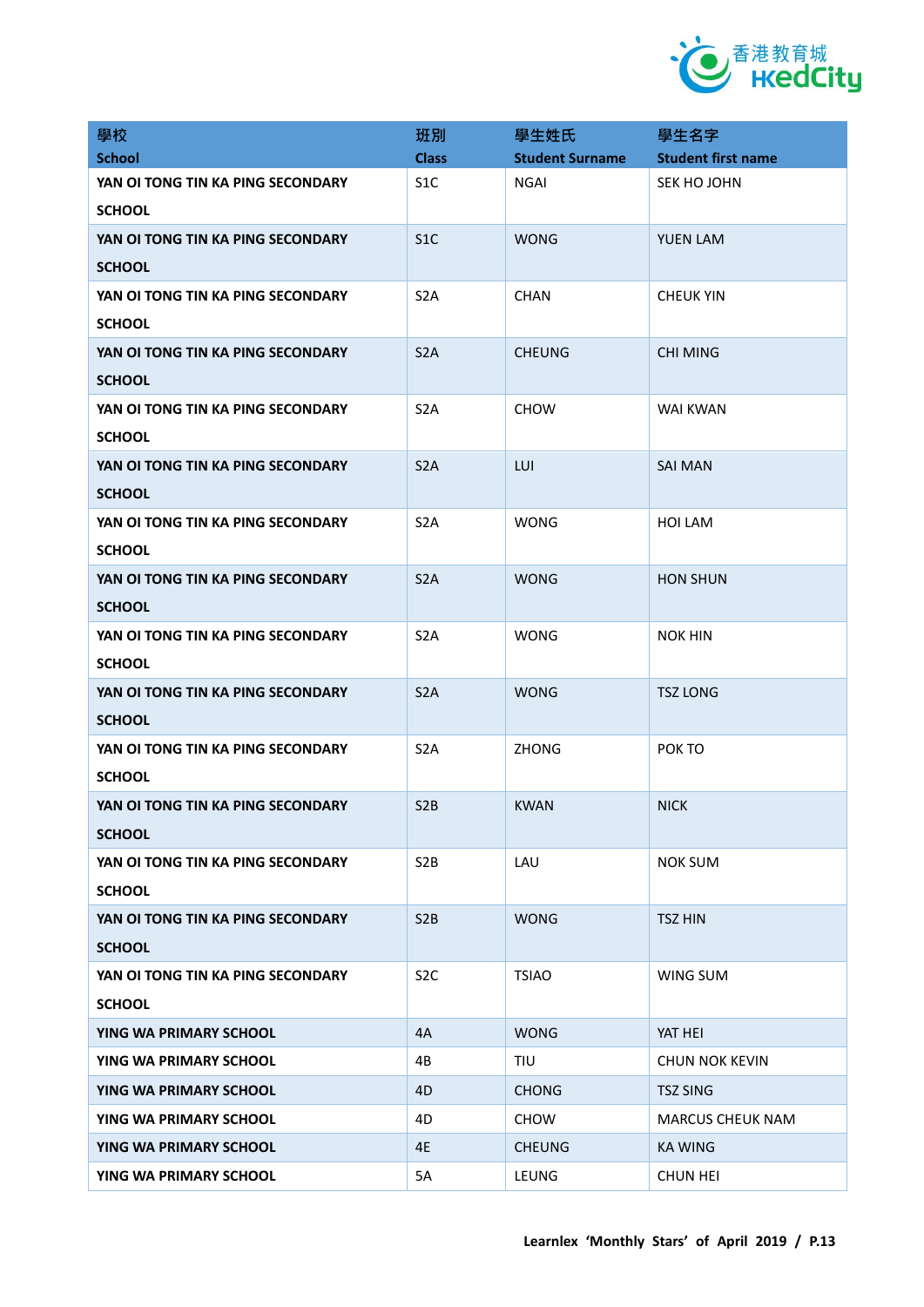

| 學校                                                 | 班別               | 學生姓氏                   | 學生名字                      |
|----------------------------------------------------|------------------|------------------------|---------------------------|
| <b>School</b>                                      | <b>Class</b>     | <b>Student Surname</b> | <b>Student first name</b> |
| YAN OI TONG TIN KA PING SECONDARY<br><b>SCHOOL</b> | S <sub>1</sub> C | NGAI                   | SEK HO JOHN               |
| YAN OI TONG TIN KA PING SECONDARY                  | S1C              | <b>WONG</b>            | <b>YUEN LAM</b>           |
| <b>SCHOOL</b>                                      |                  |                        |                           |
| YAN OI TONG TIN KA PING SECONDARY                  | S <sub>2</sub> A | <b>CHAN</b>            | <b>CHEUK YIN</b>          |
| <b>SCHOOL</b>                                      |                  |                        |                           |
| YAN OI TONG TIN KA PING SECONDARY                  | S <sub>2</sub> A | <b>CHEUNG</b>          | CHI MING                  |
| <b>SCHOOL</b>                                      |                  |                        |                           |
| YAN OI TONG TIN KA PING SECONDARY                  | S <sub>2</sub> A | <b>CHOW</b>            | WAI KWAN                  |
| <b>SCHOOL</b>                                      |                  |                        |                           |
| YAN OI TONG TIN KA PING SECONDARY                  | S <sub>2</sub> A | LUI                    | <b>SAI MAN</b>            |
| <b>SCHOOL</b>                                      |                  |                        |                           |
| YAN OI TONG TIN KA PING SECONDARY                  | S <sub>2</sub> A | <b>WONG</b>            | <b>HOI LAM</b>            |
| <b>SCHOOL</b>                                      |                  |                        |                           |
| YAN OI TONG TIN KA PING SECONDARY                  | S <sub>2</sub> A | <b>WONG</b>            | <b>HON SHUN</b>           |
| <b>SCHOOL</b>                                      |                  |                        |                           |
| YAN OI TONG TIN KA PING SECONDARY                  | S <sub>2</sub> A | <b>WONG</b>            | <b>NOK HIN</b>            |
| <b>SCHOOL</b>                                      |                  |                        |                           |
| YAN OI TONG TIN KA PING SECONDARY                  | S <sub>2</sub> A | <b>WONG</b>            | <b>TSZ LONG</b>           |
| <b>SCHOOL</b>                                      |                  |                        |                           |
| YAN OI TONG TIN KA PING SECONDARY                  | S <sub>2</sub> A | <b>ZHONG</b>           | POK TO                    |
| <b>SCHOOL</b>                                      |                  |                        |                           |
| YAN OI TONG TIN KA PING SECONDARY                  | S <sub>2</sub> B | <b>KWAN</b>            | <b>NICK</b>               |
| <b>SCHOOL</b>                                      |                  |                        |                           |
| YAN OI TONG TIN KA PING SECONDARY                  | S <sub>2</sub> B | LAU                    | <b>NOK SUM</b>            |
| <b>SCHOOL</b>                                      |                  |                        |                           |
| YAN OI TONG TIN KA PING SECONDARY                  | S <sub>2</sub> B | <b>WONG</b>            | <b>TSZ HIN</b>            |
| <b>SCHOOL</b>                                      |                  |                        |                           |
| YAN OI TONG TIN KA PING SECONDARY                  | S <sub>2</sub> C | <b>TSIAO</b>           | WING SUM                  |
| <b>SCHOOL</b>                                      |                  |                        |                           |
| YING WA PRIMARY SCHOOL                             | 4A               | <b>WONG</b>            | YAT HEI                   |
| YING WA PRIMARY SCHOOL                             | 4B               | <b>TIU</b>             | <b>CHUN NOK KEVIN</b>     |
| YING WA PRIMARY SCHOOL                             | 4D               | CHONG                  | <b>TSZ SING</b>           |
| YING WA PRIMARY SCHOOL                             | 4D               | <b>CHOW</b>            | <b>MARCUS CHEUK NAM</b>   |
| YING WA PRIMARY SCHOOL                             | 4E               | <b>CHEUNG</b>          | <b>KA WING</b>            |
| YING WA PRIMARY SCHOOL                             | 5A               | LEUNG                  | <b>CHUN HEI</b>           |
|                                                    |                  |                        |                           |